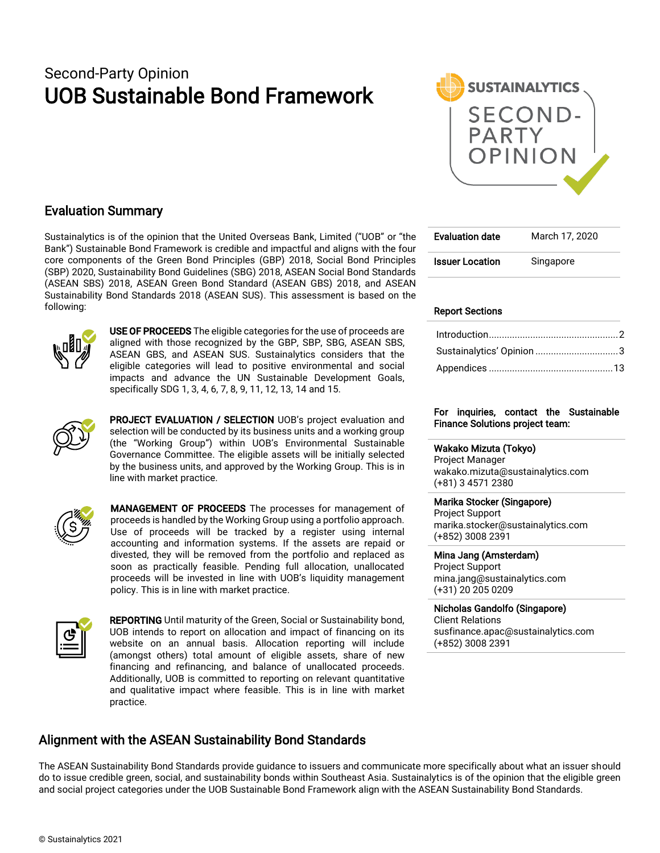## Second-Party Opinion UOB Sustainable Bond Framework



### Evaluation Summary

Sustainalytics is of the opinion that the United Overseas Bank, Limited ("UOB" or "the Bank") Sustainable Bond Framework is credible and impactful and aligns with the four core components of the Green Bond Principles (GBP) 2018, Social Bond Principles (SBP) 2020, Sustainability Bond Guidelines (SBG) 2018, ASEAN Social Bond Standards (ASEAN SBS) 2018, ASEAN Green Bond Standard (ASEAN GBS) 2018, and ASEAN Sustainability Bond Standards 2018 (ASEAN SUS). This assessment is based on the following:



USE OF PROCEEDS The eligible categories for the use of proceeds are aligned with those recognized by the GBP, SBP, SBG, ASEAN SBS, ASEAN GBS, and ASEAN SUS. Sustainalytics considers that the eligible categories will lead to positive environmental and social impacts and advance the UN Sustainable Development Goals, specifically SDG 1, 3, 4, 6, 7, 8, 9, 11, 12, 13, 14 and 15.



PROJECT EVALUATION / SELECTION UOB's project evaluation and selection will be conducted by its business units and a working group (the "Working Group") within UOB's Environmental Sustainable Governance Committee. The eligible assets will be initially selected by the business units, and approved by the Working Group. This is in line with market practice.



MANAGEMENT OF PROCEEDS The processes for management of proceeds is handled by the Working Group using a portfolio approach. Use of proceeds will be tracked by a register using internal accounting and information systems. If the assets are repaid or divested, they will be removed from the portfolio and replaced as soon as practically feasible. Pending full allocation, unallocated proceeds will be invested in line with UOB's liquidity management policy. This is in line with market practice.



REPORTING Until maturity of the Green, Social or Sustainability bond, UOB intends to report on allocation and impact of financing on its website on an annual basis. Allocation reporting will include (amongst others) total amount of eligible assets, share of new financing and refinancing, and balance of unallocated proceeds. Additionally, UOB is committed to reporting on relevant quantitative and qualitative impact where feasible. This is in line with market practice.

### Alignment with the ASEAN Sustainability Bond Standards

Evaluation date March 17, 2020 **Issuer Location** Singapore

### Report Sections

| Sustainalytics' Opinion 3 |  |
|---------------------------|--|
|                           |  |

### For inquiries, contact the Sustainable Finance Solutions project team:

### Wakako Mizuta (Tokyo)

Project Manager wakako.mizuta@sustainalytics.com (+81) 3 4571 2380

### Marika Stocker (Singapore)

Project Support marika.stocker@sustainalytics.com (+852) 3008 2391

### Mina Jang (Amsterdam)

Project Support mina.jang@sustainalytics.com (+31) 20 205 0209

### Nicholas Gandolfo (Singapore)

Client Relations susfinance.apac@sustainalytics.com (+852) 3008 2391

The ASEAN Sustainability Bond Standards provide guidance to issuers and communicate more specifically about what an issuer should do to issue credible green, social, and sustainability bonds within Southeast Asia. Sustainalytics is of the opinion that the eligible green and social project categories under the UOB Sustainable Bond Framework align with the ASEAN Sustainability Bond Standards.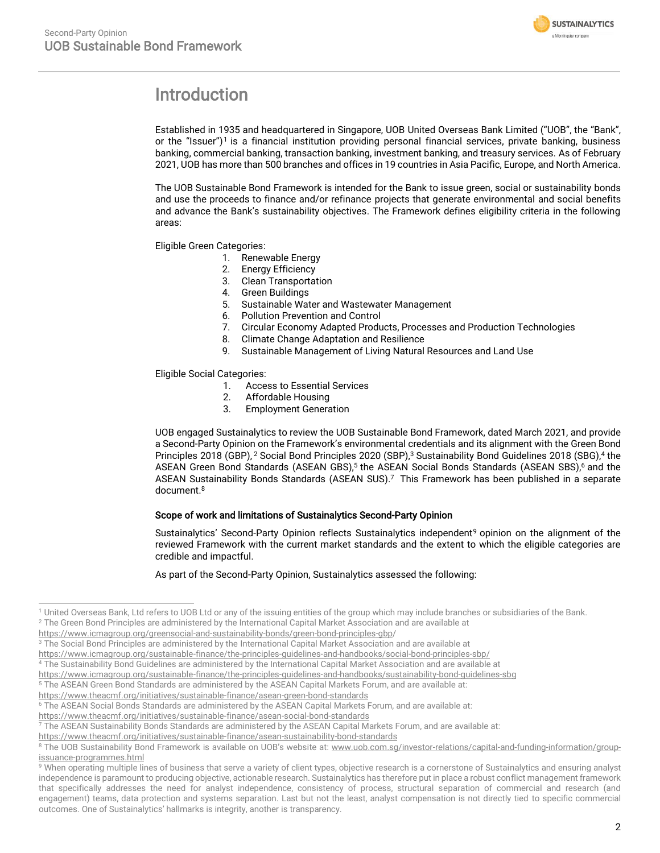

## <span id="page-1-0"></span>Introduction

Established in 1935 and headquartered in Singapore, UOB United Overseas Bank Limited ("UOB", the "Bank", or the "Issuer") <sup>1</sup> is a financial institution providing personal financial services, private banking, business banking, commercial banking, transaction banking, investment banking, and treasury services. As of February 2021, UOB has more than 500 branches and offices in 19 countries in Asia Pacific, Europe, and North America.

The UOB Sustainable Bond Framework is intended for the Bank to issue green, social or sustainability bonds and use the proceeds to finance and/or refinance projects that generate environmental and social benefits and advance the Bank's sustainability objectives. The Framework defines eligibility criteria in the following areas:

Eligible Green Categories:

- 1. Renewable Energy
- 2. Energy Efficiency
- 3. Clean Transportation
- 4. Green Buildings
- 5. Sustainable Water and Wastewater Management
- 6. Pollution Prevention and Control
- 7. Circular Economy Adapted Products, Processes and Production Technologies
- 8. Climate Change Adaptation and Resilience
- 9. Sustainable Management of Living Natural Resources and Land Use

Eligible Social Categories:

- 1. Access to Essential Services<br>2. Affordable Housing
- 2. Affordable Housing
- 3. Employment Generation

UOB engaged Sustainalytics to review the UOB Sustainable Bond Framework, dated March 2021, and provide a Second-Party Opinion on the Framework's environmental credentials and its alignment with the Green Bond Principles 2018 (GBP), <sup>2</sup> Social Bond Principles 2020 (SBP),<sup>3</sup> Sustainability Bond Guidelines 2018 (SBG),<sup>4</sup> the ASEAN Green Bond Standards (ASEAN GBS),<sup>5</sup> the ASEAN Social Bonds Standards (ASEAN SBS),<sup>6</sup> and the ASEAN Sustainability Bonds Standards (ASEAN SUS). <sup>7</sup> This Framework has been published in a separate document. 8

### <span id="page-1-1"></span>Scope of work and limitations of Sustainalytics Second-Party Opinion

Sustainalytics' Second-Party Opinion reflects Sustainalytics independent<sup>9</sup> opinion on the alignment of the reviewed Framework with the current market standards and the extent to which the eligible categories are credible and impactful.

### As part of the Second-Party Opinion, Sustainalytics assessed the following:

<https://www.theacmf.org/initiatives/sustainable-finance/asean-green-bond-standards>

<sup>1</sup> United Overseas Bank, Ltd refers to UOB Ltd or any of the issuing entities of the group which may include branches or subsidiaries of the Bank. <sup>2</sup> The Green Bond Principles are administered by the International Capital Market Association and are available at

https://www.icmagroup.org/greensocial-and-sustainability-bonds/green-bond-principles-gbp/

 $3$  The Social Bond Principles are administered by the International Capital Market Association and are available at

https://www.icmagroup.org/sustainable-finance/the-principles-guidelines-and-handbooks/social-bond-principles-sbp/

<sup>&</sup>lt;sup>4</sup> The Sustainability Bond Guidelines are administered by the International Capital Market Association and are available at

https://www.icmagroup.org/sustainable-finance/the-principles-guidelines-and-handbooks/sustainability-bond-guidelines-sbg

<sup>5</sup> The ASEAN Green Bond Standards are administered by the ASEAN Capital Markets Forum, and are available at:

<sup>6</sup> The ASEAN Social Bonds Standards are administered by the ASEAN Capital Markets Forum, and are available at:

<https://www.theacmf.org/initiatives/sustainable-finance/asean-social-bond-standards>

 $7$  The ASEAN Sustainability Bonds Standards are administered by the ASEAN Capital Markets Forum, and are available at:

<https://www.theacmf.org/initiatives/sustainable-finance/asean-sustainability-bond-standards>

<sup>&</sup>lt;sup>8</sup> The UOB Sustainability Bond Framework is available on UOB's website at: www.uob.com.sg/investor-relations/capital-and-funding-information/groupissuance-programmes.html

<sup>&</sup>lt;sup>9</sup> When operating multiple lines of business that serve a variety of client types, objective research is a cornerstone of Sustainalytics and ensuring analyst independence is paramount to producing objective, actionable research. Sustainalytics has therefore put in place a robust conflict management framework that specifically addresses the need for analyst independence, consistency of process, structural separation of commercial and research (and engagement) teams, data protection and systems separation. Last but not the least, analyst compensation is not directly tied to specific commercial outcomes. One of Sustainalytics' hallmarks is integrity, another is transparency.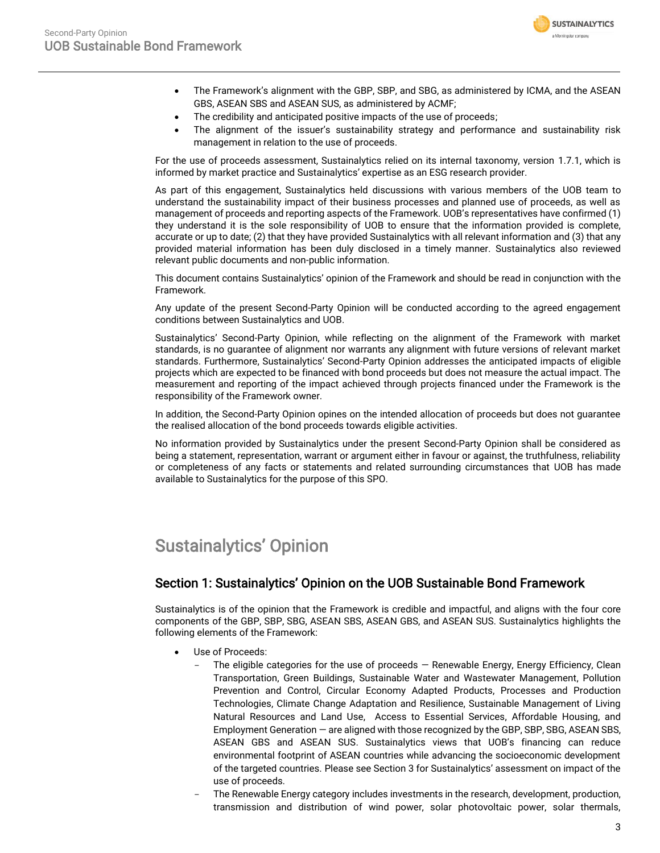

- The Framework's alignment with the GBP, SBP, and SBG, as administered by ICMA, and the ASEAN GBS, ASEAN SBS and ASEAN SUS, as administered by ACMF;
- The credibility and anticipated positive impacts of the use of proceeds;
- The alignment of the issuer's sustainability strategy and performance and sustainability risk management in relation to the use of proceeds.

For the use of proceeds assessment, Sustainalytics relied on its internal taxonomy, version 1.7.1, which is informed by market practice and Sustainalytics' expertise as an ESG research provider.

As part of this engagement, Sustainalytics held discussions with various members of the UOB team to understand the sustainability impact of their business processes and planned use of proceeds, as well as management of proceeds and reporting aspects of the Framework. UOB's representatives have confirmed (1) they understand it is the sole responsibility of UOB to ensure that the information provided is complete, accurate or up to date; (2) that they have provided Sustainalytics with all relevant information and (3) that any provided material information has been duly disclosed in a timely manner. Sustainalytics also reviewed relevant public documents and non-public information.

This document contains Sustainalytics' opinion of the Framework and should be read in conjunction with the Framework.

Any update of the present Second-Party Opinion will be conducted according to the agreed engagement conditions between Sustainalytics and UOB.

Sustainalytics' Second-Party Opinion, while reflecting on the alignment of the Framework with market standards, is no guarantee of alignment nor warrants any alignment with future versions of relevant market standards. Furthermore, Sustainalytics' Second-Party Opinion addresses the anticipated impacts of eligible projects which are expected to be financed with bond proceeds but does not measure the actual impact. The measurement and reporting of the impact achieved through projects financed under the Framework is the responsibility of the Framework owner.

In addition, the Second-Party Opinion opines on the intended allocation of proceeds but does not guarantee the realised allocation of the bond proceeds towards eligible activities.

No information provided by Sustainalytics under the present Second-Party Opinion shall be considered as being a statement, representation, warrant or argument either in favour or against, the truthfulness, reliability or completeness of any facts or statements and related surrounding circumstances that UOB has made available to Sustainalytics for the purpose of this SPO.

## <span id="page-2-0"></span>Sustainalytics' Opinion

### Section 1: Sustainalytics' Opinion on the UOB Sustainable Bond Framework

Sustainalytics is of the opinion that the Framework is credible and impactful, and aligns with the four core components of the GBP, SBP, SBG, ASEAN SBS, ASEAN GBS, and ASEAN SUS. Sustainalytics highlights the following elements of the Framework:

- Use of Proceeds:
	- The eligible categories for the use of proceeds  $-$  Renewable Energy, Energy Efficiency, Clean Transportation, Green Buildings, Sustainable Water and Wastewater Management, Pollution Prevention and Control, Circular Economy Adapted Products, Processes and Production Technologies, Climate Change Adaptation and Resilience, Sustainable Management of Living Natural Resources and Land Use, Access to Essential Services, Affordable Housing, and Employment Generation — are aligned with those recognized by the GBP, SBP, SBG, ASEAN SBS, ASEAN GBS and ASEAN SUS. Sustainalytics views that UOB's financing can reduce environmental footprint of ASEAN countries while advancing the socioeconomic development of the targeted countries. Please see Section 3 for Sustainalytics' assessment on impact of the use of proceeds.
	- The Renewable Energy category includes investments in the research, development, production, transmission and distribution of wind power, solar photovoltaic power, solar thermals,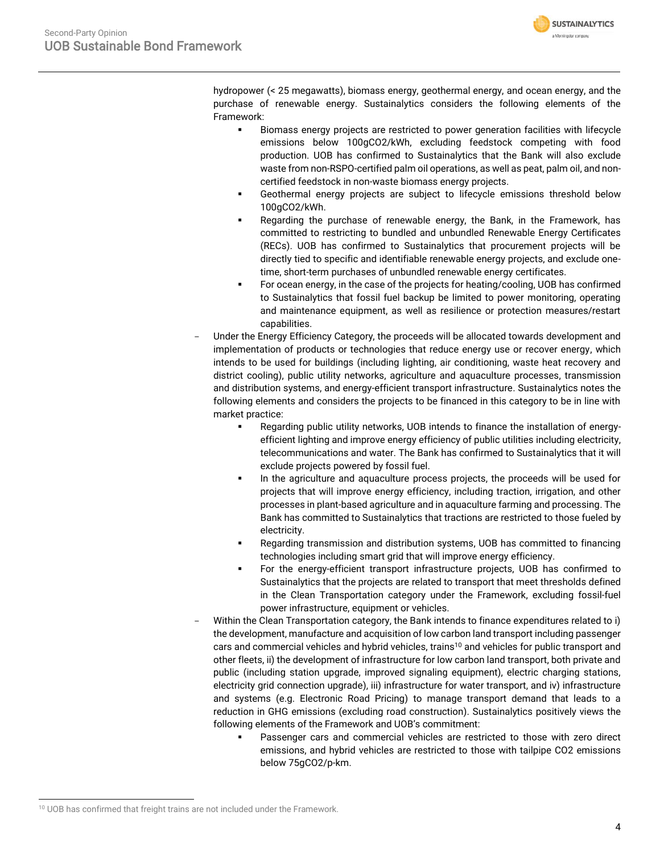

hydropower (< 25 megawatts), biomass energy, geothermal energy, and ocean energy, and the purchase of renewable energy. Sustainalytics considers the following elements of the Framework:

- Biomass energy projects are restricted to power generation facilities with lifecycle emissions below 100gCO2/kWh, excluding feedstock competing with food production. UOB has confirmed to Sustainalytics that the Bank will also exclude waste from non-RSPO-certified palm oil operations, as well as peat, palm oil, and noncertified feedstock in non-waste biomass energy projects.
- Geothermal energy projects are subject to lifecycle emissions threshold below 100gCO2/kWh.
- Regarding the purchase of renewable energy, the Bank, in the Framework, has committed to restricting to bundled and unbundled Renewable Energy Certificates (RECs). UOB has confirmed to Sustainalytics that procurement projects will be directly tied to specific and identifiable renewable energy projects, and exclude onetime, short-term purchases of unbundled renewable energy certificates.
- For ocean energy, in the case of the projects for heating/cooling, UOB has confirmed to Sustainalytics that fossil fuel backup be limited to power monitoring, operating and maintenance equipment, as well as resilience or protection measures/restart capabilities.
- Under the Energy Efficiency Category, the proceeds will be allocated towards development and implementation of products or technologies that reduce energy use or recover energy, which intends to be used for buildings (including lighting, air conditioning, waste heat recovery and district cooling), public utility networks, agriculture and aquaculture processes, transmission and distribution systems, and energy-efficient transport infrastructure. Sustainalytics notes the following elements and considers the projects to be financed in this category to be in line with market practice:
	- Regarding public utility networks, UOB intends to finance the installation of energyefficient lighting and improve energy efficiency of public utilities including electricity, telecommunications and water. The Bank has confirmed to Sustainalytics that it will exclude projects powered by fossil fuel.
	- In the agriculture and aquaculture process projects, the proceeds will be used for projects that will improve energy efficiency, including traction, irrigation, and other processes in plant-based agriculture and in aquaculture farming and processing. The Bank has committed to Sustainalytics that tractions are restricted to those fueled by electricity.
	- Regarding transmission and distribution systems, UOB has committed to financing technologies including smart grid that will improve energy efficiency.
	- For the energy-efficient transport infrastructure projects, UOB has confirmed to Sustainalytics that the projects are related to transport that meet thresholds defined in the Clean Transportation category under the Framework, excluding fossil-fuel power infrastructure, equipment or vehicles.
- Within the Clean Transportation category, the Bank intends to finance expenditures related to i) the development, manufacture and acquisition of low carbon land transport including passenger cars and commercial vehicles and hybrid vehicles, trains<sup>10</sup> and vehicles for public transport and other fleets, ii) the development of infrastructure for low carbon land transport, both private and public (including station upgrade, improved signaling equipment), electric charging stations, electricity grid connection upgrade), iii) infrastructure for water transport, and iv) infrastructure and systems (e.g. Electronic Road Pricing) to manage transport demand that leads to a reduction in GHG emissions (excluding road construction). Sustainalytics positively views the following elements of the Framework and UOB's commitment:
	- Passenger cars and commercial vehicles are restricted to those with zero direct emissions, and hybrid vehicles are restricted to those with tailpipe CO2 emissions below 75gCO2/p-km.

<sup>&</sup>lt;sup>10</sup> UOB has confirmed that freight trains are not included under the Framework.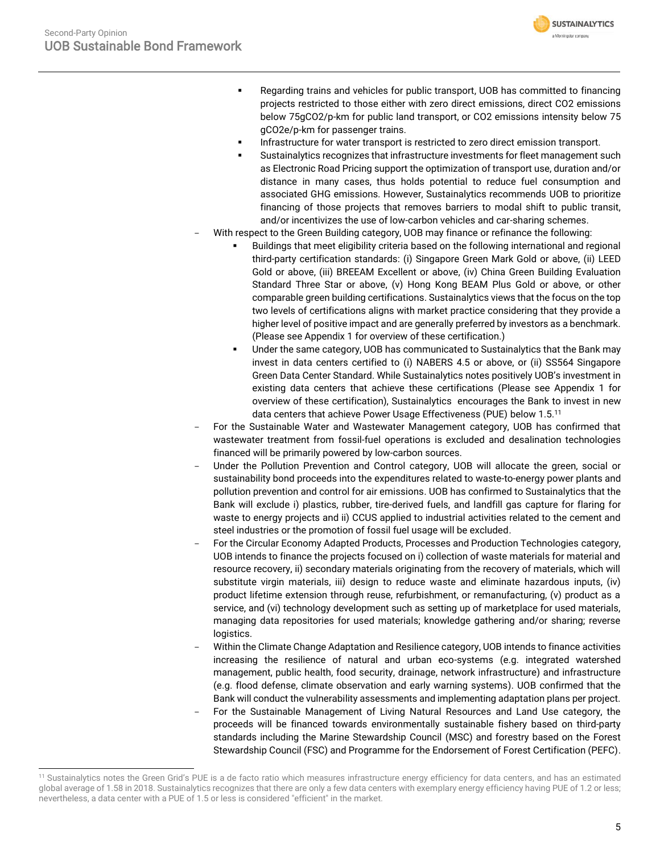Regarding trains and vehicles for public transport, UOB has committed to financing projects restricted to those either with zero direct emissions, direct CO2 emissions below 75gCO2/p-km for public land transport, or CO2 emissions intensity below 75 gCO2e/p-km for passenger trains.

**SUSTAINALYTICS** a Morningstar company

- Infrastructure for water transport is restricted to zero direct emission transport.
- Sustainalytics recognizes that infrastructure investments for fleet management such as Electronic Road Pricing support the optimization of transport use, duration and/or distance in many cases, thus holds potential to reduce fuel consumption and associated GHG emissions. However, Sustainalytics recommends UOB to prioritize financing of those projects that removes barriers to modal shift to public transit, and/or incentivizes the use of low-carbon vehicles and car-sharing schemes.
- With respect to the Green Building category, UOB may finance or refinance the following:
	- Buildings that meet eligibility criteria based on the following international and regional third-party certification standards: (i) Singapore Green Mark Gold or above, (ii) LEED Gold or above, (iii) BREEAM Excellent or above, (iv) China Green Building Evaluation Standard Three Star or above, (v) Hong Kong BEAM Plus Gold or above, or other comparable green building certifications. Sustainalytics views that the focus on the top two levels of certifications aligns with market practice considering that they provide a higher level of positive impact and are generally preferred by investors as a benchmark. (Please see Appendix 1 for overview of these certification.)
	- Under the same category, UOB has communicated to Sustainalytics that the Bank may invest in data centers certified to (i) NABERS 4.5 or above, or (ii) SS564 Singapore Green Data Center Standard. While Sustainalytics notes positively UOB's investment in existing data centers that achieve these certifications (Please see Appendix 1 for overview of these certification), Sustainalytics encourages the Bank to invest in new data centers that achieve Power Usage Effectiveness (PUE) below 1.5. 11
- For the Sustainable Water and Wastewater Management category, UOB has confirmed that wastewater treatment from fossil-fuel operations is excluded and desalination technologies financed will be primarily powered by low-carbon sources.
- Under the Pollution Prevention and Control category, UOB will allocate the green, social or sustainability bond proceeds into the expenditures related to waste-to-energy power plants and pollution prevention and control for air emissions. UOB has confirmed to Sustainalytics that the Bank will exclude i) plastics, rubber, tire-derived fuels, and landfill gas capture for flaring for waste to energy projects and ii) CCUS applied to industrial activities related to the cement and steel industries or the promotion of fossil fuel usage will be excluded.
- For the Circular Economy Adapted Products, Processes and Production Technologies category, UOB intends to finance the projects focused on i) collection of waste materials for material and resource recovery, ii) secondary materials originating from the recovery of materials, which will substitute virgin materials, iii) design to reduce waste and eliminate hazardous inputs, (iv) product lifetime extension through reuse, refurbishment, or remanufacturing, (v) product as a service, and (vi) technology development such as setting up of marketplace for used materials, managing data repositories for used materials; knowledge gathering and/or sharing; reverse logistics.
- Within the Climate Change Adaptation and Resilience category, UOB intends to finance activities increasing the resilience of natural and urban eco-systems (e.g. integrated watershed management, public health, food security, drainage, network infrastructure) and infrastructure (e.g. flood defense, climate observation and early warning systems). UOB confirmed that the Bank will conduct the vulnerability assessments and implementing adaptation plans per project. For the Sustainable Management of Living Natural Resources and Land Use category, the proceeds will be financed towards environmentally sustainable fishery based on third-party standards including the Marine Stewardship Council (MSC) and forestry based on the Forest

Stewardship Council (FSC) and Programme for the Endorsement of Forest Certification (PEFC).

<sup>&</sup>lt;sup>11</sup> Sustainalytics notes the Green Grid's PUE is a de facto ratio which measures infrastructure energy efficiency for data centers, and has an estimated global average of 1.58 in 2018. Sustainalytics recognizes that there are only a few data centers with exemplary energy efficiency having PUE of 1.2 or less; nevertheless, a data center with a PUE of 1.5 or less is considered "efficient" in the market.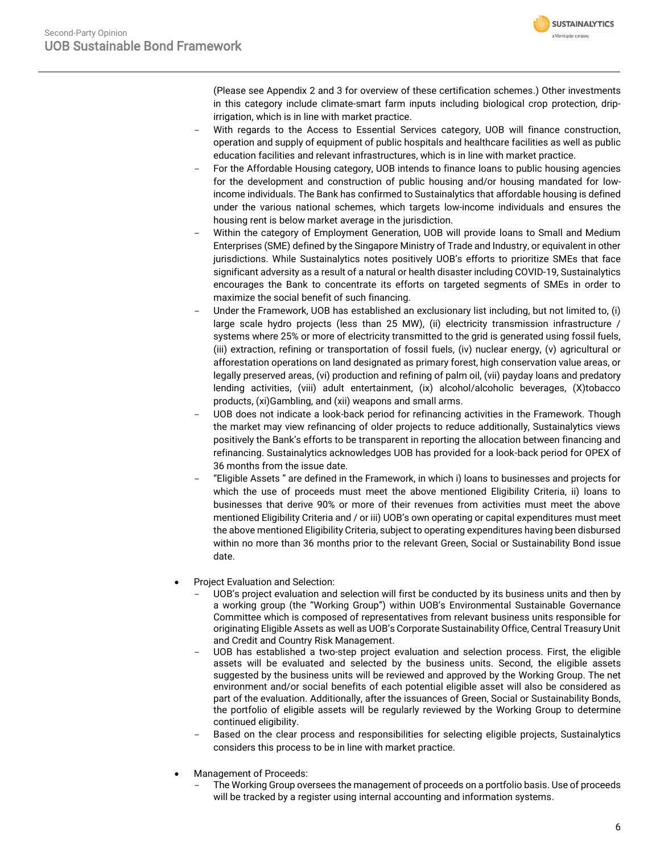

(Please see Appendix 2 and 3 for overview of these certification schemes.) Other investments in this category include climate-smart farm inputs including biological crop protection, dripirrigation, which is in line with market practice.

- With regards to the Access to Essential Services category, UOB will finance construction, operation and supply of equipment of public hospitals and healthcare facilities as well as public education facilities and relevant infrastructures, which is in line with market practice.
- For the Affordable Housing category, UOB intends to finance loans to public housing agencies for the development and construction of public housing and/or housing mandated for lowincome individuals. The Bank has confirmed to Sustainalytics that affordable housing is defined under the various national schemes, which targets low-income individuals and ensures the housing rent is below market average in the jurisdiction.
- Within the category of Employment Generation, UOB will provide loans to Small and Medium Enterprises (SME) defined by the Singapore Ministry of Trade and Industry, or equivalent in other jurisdictions. While Sustainalytics notes positively UOB's efforts to prioritize SMEs that face significant adversity as a result of a natural or health disaster including COVID-19, Sustainalytics encourages the Bank to concentrate its efforts on targeted segments of SMEs in order to maximize the social benefit of such financing.
- Under the Framework, UOB has established an exclusionary list including, but not limited to, (i) large scale hydro projects (less than 25 MW), (ii) electricity transmission infrastructure / systems where 25% or more of electricity transmitted to the grid is generated using fossil fuels, (iii) extraction, refining or transportation of fossil fuels, (iv) nuclear energy, (v) agricultural or afforestation operations on land designated as primary forest, high conservation value areas, or legally preserved areas, (vi) production and refining of palm oil, (vii) payday loans and predatory lending activities, (viii) adult entertainment, (ix) alcohol/alcoholic beverages, (X)tobacco products, (xi)Gambling, and (xii) weapons and small arms.
- UOB does not indicate a look-back period for refinancing activities in the Framework. Though the market may view refinancing of older projects to reduce additionally, Sustainalytics views positively the Bank's efforts to be transparent in reporting the allocation between financing and refinancing. Sustainalytics acknowledges UOB has provided for a look-back period for OPEX of 36 months from the issue date.
- "Eligible Assets " are defined in the Framework, in which i) loans to businesses and projects for which the use of proceeds must meet the above mentioned Eligibility Criteria, ii) loans to businesses that derive 90% or more of their revenues from activities must meet the above mentioned Eligibility Criteria and / or iii) UOB's own operating or capital expenditures must meet the above mentioned Eligibility Criteria, subject to operating expenditures having been disbursed within no more than 36 months prior to the relevant Green, Social or Sustainability Bond issue date.
- Project Evaluation and Selection:
	- UOB's project evaluation and selection will first be conducted by its business units and then by a working group (the "Working Group") within UOB's Environmental Sustainable Governance Committee which is composed of representatives from relevant business units responsible for originating Eligible Assets as well as UOB's Corporate Sustainability Office, Central Treasury Unit and Credit and Country Risk Management.
	- UOB has established a two-step project evaluation and selection process. First, the eligible assets will be evaluated and selected by the business units. Second, the eligible assets suggested by the business units will be reviewed and approved by the Working Group. The net environment and/or social benefits of each potential eligible asset will also be considered as part of the evaluation. Additionally, after the issuances of Green, Social or Sustainability Bonds, the portfolio of eligible assets will be regularly reviewed by the Working Group to determine continued eligibility.
	- Based on the clear process and responsibilities for selecting eligible projects, Sustainalytics considers this process to be in line with market practice.
- Management of Proceeds:
	- The Working Group oversees the management of proceeds on a portfolio basis. Use of proceeds will be tracked by a register using internal accounting and information systems.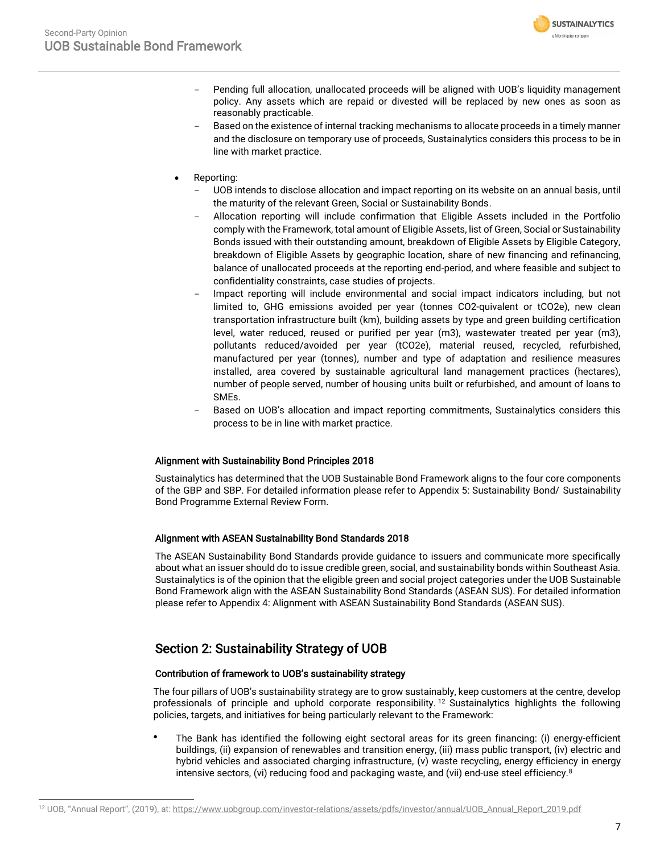

- Pending full allocation, unallocated proceeds will be aligned with UOB's liquidity management policy. Any assets which are repaid or divested will be replaced by new ones as soon as reasonably practicable.
- Based on the existence of internal tracking mechanisms to allocate proceeds in a timely manner and the disclosure on temporary use of proceeds, Sustainalytics considers this process to be in line with market practice.
- Reporting:
	- UOB intends to disclose allocation and impact reporting on its website on an annual basis, until the maturity of the relevant Green, Social or Sustainability Bonds.
	- Allocation reporting will include confirmation that Eligible Assets included in the Portfolio comply with the Framework, total amount of Eligible Assets, list of Green, Social or Sustainability Bonds issued with their outstanding amount, breakdown of Eligible Assets by Eligible Category, breakdown of Eligible Assets by geographic location, share of new financing and refinancing, balance of unallocated proceeds at the reporting end-period, and where feasible and subject to confidentiality constraints, case studies of projects.
	- Impact reporting will include environmental and social impact indicators including, but not limited to, GHG emissions avoided per year (tonnes CO2-quivalent or tCO2e), new clean transportation infrastructure built (km), building assets by type and green building certification level, water reduced, reused or purified per year (m3), wastewater treated per year (m3), pollutants reduced/avoided per year (tCO2e), material reused, recycled, refurbished, manufactured per year (tonnes), number and type of adaptation and resilience measures installed, area covered by sustainable agricultural land management practices (hectares), number of people served, number of housing units built or refurbished, and amount of loans to SMEs.
	- Based on UOB's allocation and impact reporting commitments, Sustainalytics considers this process to be in line with market practice.

### Alignment with Sustainability Bond Principles 2018

Sustainalytics has determined that the UOB Sustainable Bond Framework aligns to the four core components of the GBP and SBP. For detailed information please refer to Appendix 5: Sustainability Bond/ Sustainability Bond Programme External Review Form.

### Alignment with ASEAN Sustainability Bond Standards 2018

The ASEAN Sustainability Bond Standards provide guidance to issuers and communicate more specifically about what an issuer should do to issue credible green, social, and sustainability bonds within Southeast Asia. Sustainalytics is of the opinion that the eligible green and social project categories under the UOB Sustainable Bond Framework align with the ASEAN Sustainability Bond Standards (ASEAN SUS). For detailed information please refer to Appendix 4: Alignment with ASEAN Sustainability Bond Standards (ASEAN SUS).

### Section 2: Sustainability Strategy of UOB

### Contribution of framework to UOB's sustainability strategy

The four pillars of UOB's sustainability strategy are to grow sustainably, keep customers at the centre, develop professionals of principle and uphold corporate responsibility.<sup>12</sup> Sustainalytics highlights the following policies, targets, and initiatives for being particularly relevant to the Framework:

⚫ The Bank has identified the following eight sectoral areas for its green financing: (i) energy-efficient buildings, (ii) expansion of renewables and transition energy, (iii) mass public transport, (iv) electric and hybrid vehicles and associated charging infrastructure, (v) waste recycling, energy efficiency in energy intensive sectors, (vi) reducing food and packaging waste, and (vii) end-use steel efficienc[y.](#page-1-1)<sup>8</sup>

<sup>&</sup>lt;sup>12</sup> UOB, "Annual Report", (2019), at: https://www.uobgroup.com/investor-relations/assets/pdfs/investor/annual/UOB\_Annual\_Report\_2019.pdf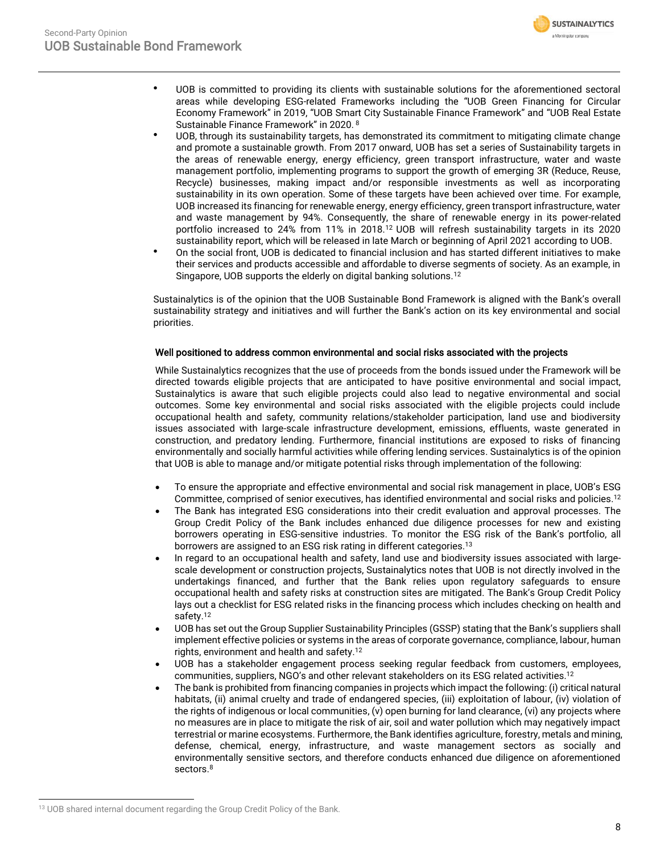

- ⚫ UOB is committed to providing its clients with sustainable solutions for the aforementioned sectoral areas while developing ESG-related Frameworks including the "UOB Green Financing for Circular Economy Framework" in 2019, "UOB Smart City Sustainable Finance Framework" and "UOB Real Estate Sustainable Finance Framework" in 2020. [8](#page-1-1)
- ⚫ UOB, through its sustainability targets, has demonstrated its commitment to mitigating climate change and promote a sustainable growth. From 2017 onward, UOB has set a series of Sustainability targets in the areas of renewable energy, energy efficiency, green transport infrastructure, water and waste management portfolio, implementing programs to support the growth of emerging 3R (Reduce, Reuse, Recycle) businesses, making impact and/or responsible investments as well as incorporating sustainability in its own operation. Some of these targets have been achieved over time. For example, UOB increased its financing for renewable energy, energy efficiency, green transport infrastructure, water and waste management by 94%. Consequently, the share of renewable energy in its power-related portfolio increased to 24% from 11% in 2018.<sup>12</sup> UOB will refresh sustainability targets in its 2020 sustainability report, which will be released in late March or beginning of April 2021 according to UOB.
- ⚫ On the social front, UOB is dedicated to financial inclusion and has started different initiatives to make their services and products accessible and affordable to diverse segments of society. As an example, in Singapore, UOB supports the elderly on digital banking solutions.<sup>12</sup>

Sustainalytics is of the opinion that the UOB Sustainable Bond Framework is aligned with the Bank's overall sustainability strategy and initiatives and will further the Bank's action on its key environmental and social priorities.

### Well positioned to address common environmental and social risks associated with the projects

While Sustainalytics recognizes that the use of proceeds from the bonds issued under the Framework will be directed towards eligible projects that are anticipated to have positive environmental and social impact, Sustainalytics is aware that such eligible projects could also lead to negative environmental and social outcomes. Some key environmental and social risks associated with the eligible projects could include occupational health and safety, community relations/stakeholder participation, land use and biodiversity issues associated with large-scale infrastructure development, emissions, effluents, waste generated in construction, and predatory lending. Furthermore, financial institutions are exposed to risks of financing environmentally and socially harmful activities while offering lending services. Sustainalytics is of the opinion that UOB is able to manage and/or mitigate potential risks through implementation of the following:

- To ensure the appropriate and effective environmental and social risk management in place, UOB's ESG Committee, comprised of senior executives, has identified environmental and social risks and policies.<sup>12</sup>
- The Bank has integrated ESG considerations into their credit evaluation and approval processes. The Group Credit Policy of the Bank includes enhanced due diligence processes for new and existing borrowers operating in ESG-sensitive industries. To monitor the ESG risk of the Bank's portfolio, all borrowers are assigned to an ESG risk rating in different categories.<sup>13</sup>
- In regard to an occupational health and safety, land use and biodiversity issues associated with largescale development or construction projects, Sustainalytics notes that UOB is not directly involved in the undertakings financed, and further that the Bank relies upon regulatory safeguards to ensure occupational health and safety risks at construction sites are mitigated. The Bank's Group Credit Policy lays out a checklist for ESG related risks in the financing process which includes checking on health and safety. 12
- UOB has set out the Group Supplier Sustainability Principles (GSSP) stating that the Bank's suppliers shall implement effective policies or systems in the areas of corporate governance, compliance, labour, human rights, environment and health and safety. 12
- UOB has a stakeholder engagement process seeking regular feedback from customers, employees, communities, suppliers, NGO's and other relevant stakeholders on its ESG related activities.<sup>12</sup>
- The bank is prohibited from financing companies in projects which impact the following: (i) critical natural habitats, (ii) animal cruelty and trade of endangered species, (iii) exploitation of labour, (iv) violation of the rights of indigenous or local communities, (v) open burning for land clearance, (vi) any projects where no measures are in place to mitigate the risk of air, soil and water pollution which may negatively impact terrestrial or marine ecosystems. Furthermore, the Bank identifies agriculture, forestry, metals and mining, defense, chemical, energy, infrastructure, and waste management sectors as socially and environmentally sensitive sectors, and therefore conducts enhanced due diligence on aforementioned sectors.<sup>8</sup>

<sup>&</sup>lt;sup>13</sup> UOB shared internal document regarding the Group Credit Policy of the Bank.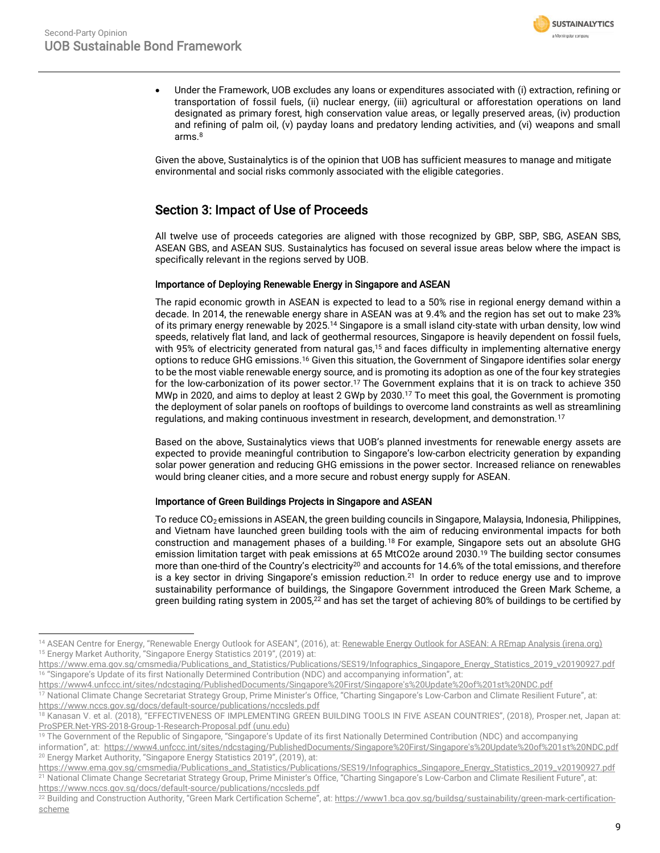

• Under the Framework, UOB excludes any loans or expenditures associated with (i) extraction, refining or transportation of fossil fuels, (ii) nuclear energy, (iii) agricultural or afforestation operations on land designated as primary forest, high conservation value areas, or legally preserved areas, (iv) production and refining of palm oil, (v) payday loans and predatory lending activities, and (vi) weapons and small arms.<sup>[8](#page-1-1)</sup>

Given the above, Sustainalytics is of the opinion that UOB has sufficient measures to manage and mitigate environmental and social risks commonly associated with the eligible categories.

### Section 3: Impact of Use of Proceeds

All twelve use of proceeds categories are aligned with those recognized by GBP, SBP, SBG, ASEAN SBS, ASEAN GBS, and ASEAN SUS. Sustainalytics has focused on several issue areas below where the impact is specifically relevant in the regions served by UOB.

### Importance of Deploying Renewable Energy in Singapore and ASEAN

The rapid economic growth in ASEAN is expected to lead to a 50% rise in regional energy demand within a decade. In 2014, the renewable energy share in ASEAN was at 9.4% and the region has set out to make 23% of its primary energy renewable by 2025.<sup>14</sup> Singapore is a small island city-state with urban density, low wind speeds, relatively flat land, and lack of geothermal resources, Singapore is heavily dependent on fossil fuels, with 95% of electricity generated from natural gas,<sup>15</sup> and faces difficulty in implementing alternative energy options to reduce GHG emissions.<sup>16</sup> Given this situation, the Government of Singapore identifies solar energy to be the most viable renewable energy source, and is promoting its adoption as one of the four key strategies for the low-carbonization of its power sector.<sup>17</sup> The Government explains that it is on track to achieve 350 MWp in 2020, and aims to deploy at least 2 GWp by 2030.[17](#page-8-0) To meet this goal, the Government is promoting the deployment of solar panels on rooftops of buildings to overcome land constraints as well as streamlining regulations, and making continuous investment in research, development, and demonstration.[17](#page-8-0)

<span id="page-8-0"></span>Based on the above, Sustainalytics views that UOB's planned investments for renewable energy assets are expected to provide meaningful contribution to Singapore's low-carbon electricity generation by expanding solar power generation and reducing GHG emissions in the power sector. Increased reliance on renewables would bring cleaner cities, and a more secure and robust energy supply for ASEAN.

### Importance of Green Buildings Projects in Singapore and ASEAN

To reduce CO<sub>2</sub> emissions in ASEAN, the green building councils in Singapore, Malaysia, Indonesia, Philippines, and Vietnam have launched green building tools with the aim of reducing environmental impacts for both construction and management phases of a building.<sup>18</sup> For example, Singapore sets out an absolute GHG emission limitation target with peak emissions at 65 MtCO2e around 2030. <sup>19</sup> The building sector consumes more than one-third of the Country's electricity<sup>20</sup> and accounts for 14.6% of the total emissions, and therefore is a key sector in driving Singapore's emission reduction.<sup>21</sup> In order to reduce energy use and to improve sustainability performance of buildings, the Singapore Government introduced the Green Mark Scheme, a green building rating system in 2005,<sup>22</sup> and has set the target of achieving 80% of buildings to be certified by

<sup>&</sup>lt;sup>14</sup> ASEAN Centre for Energy, "Renewable Energy Outlook for ASEAN", (2016), at: [Renewable Energy Outlook for ASEAN: A REmap Analysis \(irena.org\)](https://www.irena.org/-/media/Files/IRENA/Agency/Publication/2016/IRENA_REmap_ASEAN_2016_report.pdf?la=en&hash=AB911A21CFC4A91616E2374A137B4091AF006829) <sup>15</sup> Energy Market Authority, "Singapore Energy Statistics 2019", (2019) at:

https://www.ema.gov.sg/cmsmedia/Publications\_and\_Statistics/Publications/SES19/Infographics\_Singapore\_Energy\_Statistics\_2019\_v20190927.pdf <sup>16</sup> "Singapore's Update of its first Nationally Determined Contribution (NDC) and accompanying information", at:

https://www4.unfccc.int/sites/ndcstaging/PublishedDocuments/Singapore%20First/Singapore's%20Update%20of%201st%20NDC.pdf

<sup>17</sup> National Climate Change Secretariat Strategy Group, Prime Minister's Office, "Charting Singapore's Low-Carbon and Climate Resilient Future", at: https://www.nccs.gov.sg/docs/default-source/publications/nccsleds.pdf

<sup>18</sup> Kanasan V. et al. (2018), "EFFECTIVENESS OF IMPLEMENTING GREEN BUILDING TOOLS IN FIVE ASEAN COUNTRIES", (2018), Prosper.net, Japan at: [ProSPER.Net-YRS-2018-Group-1-Research-Proposal.pdf \(unu.edu\)](https://prospernet.ias.unu.edu/wp-content/uploads/2018/05/ProSPER.Net-YRS-2018-Group-1-Research-Proposal.pdf)

<sup>&</sup>lt;sup>19</sup> The Government of the Republic of Singapore, "Singapore's Update of its first Nationally Determined Contribution (NDC) and accompanying

information", at: https://www4.unfccc.int/sites/ndcstaging/PublishedDocuments/Singapore%20First/Singapore's%20Update%20of%201st%20NDC.pdf <sup>20</sup> Energy Market Authority, "Singapore Energy Statistics 2019", (2019), at:

https://www.ema.gov.sg/cmsmedia/Publications\_and\_Statistics/Publications/SES19/Infographics\_Singapore\_Energy\_Statistics\_2019\_v20190927.pdf <sup>21</sup> National Climate Change Secretariat Strategy Group, Prime Minister's Office, "Charting Singapore's Low-Carbon and Climate Resilient Future", at: https://www.nccs.gov.sg/docs/default-source/publications/nccsleds.pdf

<sup>&</sup>lt;sup>22</sup> Building and Construction Authority, "Green Mark Certification Scheme", at: https://www1.bca.gov.sg/buildsg/sustainability/green-mark-certificationscheme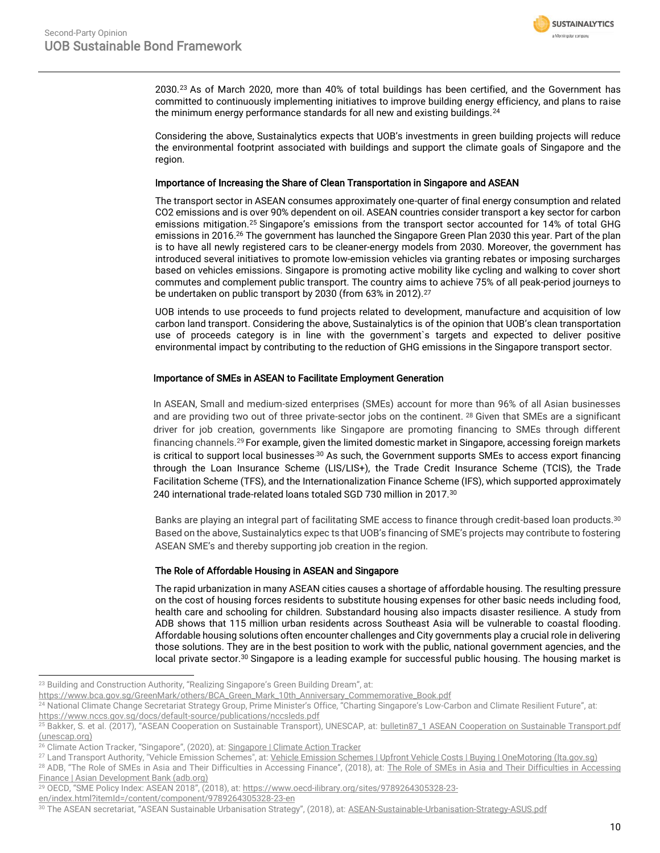

2030.<sup>23</sup> As of March 2020, more than 40% of total buildings has been certified, and the Government has committed to continuously implementing initiatives to improve building energy efficiency, and plans to raise the minimum energy performance standards for all new and existing buildings.<sup>24</sup>

Considering the above, Sustainalytics expects that UOB's investments in green building projects will reduce the environmental footprint associated with buildings and support the climate goals of Singapore and the region.

#### Importance of Increasing the Share of Clean Transportation in Singapore and ASEAN

The transport sector in ASEAN consumes approximately one-quarter of final energy consumption and related CO2 emissions and is over 90% dependent on oil. ASEAN countries consider transport a key sector for carbon emissions mitigation.<sup>25</sup> Singapore's emissions from the transport sector accounted for 14% of total GHG emissions in 2016. <sup>26</sup> The government has launched the Singapore Green Plan 2030 this year. Part of the plan is to have all newly registered cars to be [cleaner-energy models](https://www.greenplan.gov.sg/key-focus-areas/energy-reset/#:~:text=Transport) from 2030. Moreover, the government has introduced several initiatives to promote low-emission vehicles via granting rebates or imposing surcharges based on vehicles emissions. Singapore is promoting active mobility like cycling and walking to cover short commutes and complement public transport. The country aims to achieve 75% of all peak-period journeys to be undertaken on public transport by 2030 (from 63% in 2012).<sup>27</sup>

UOB intends to use proceeds to fund projects related to development, manufacture and acquisition of low carbon land transport. Considering the above, Sustainalytics is of the opinion that UOB's clean transportation use of proceeds category is in line with the government`s targets and expected to deliver positive environmental impact by contributing to the reduction of GHG emissions in the Singapore transport sector.

### Importance of SMEs in ASEAN to Facilitate Employment Generation

In ASEAN, Small and medium-sized enterprises (SMEs) account for more than 96% of all Asian businesses and are providing two out of three private-sector jobs on the continent. <sup>28</sup> Given that SMEs are a significant driver for job creation, governments like Singapore are promoting financing to SMEs through different financing channels.<sup>29</sup> For example, given the limited domestic market in Singapore, accessing foreign markets is critical to support local businesses.<sup>30</sup> As such, the Government supports SMEs to access export financing through the Loan Insurance Scheme (LIS/LIS+), the Trade Credit Insurance Scheme (TCIS), the Trade Facilitation Scheme (TFS), and the Internationalization Finance Scheme (IFS), which supported approximately 240 international trade-related loans totaled SGD 730 million in 2017.[30](#page-9-0)

Banks are playing an integral part of facilitating SME access to finance through credit-based loan products. [30](#page-9-0) Based on the above, Sustainalytics expec ts that UOB's financing of SME's projects may contribute to fostering ASEAN SME's and thereby supporting job creation in the region.

### The Role of Affordable Housing in ASEAN and Singapore

<span id="page-9-0"></span>The rapid urbanization in many ASEAN cities causes a shortage of affordable housing. The resulting pressure on the cost of housing forces residents to substitute housing expenses for other basic needs including food, health care and schooling for children. Substandard housing also impacts disaster resilience. A study from ADB shows that 115 million urban residents across Southeast Asia will be vulnerable to coastal flooding. Affordable housing solutions often encounter challenges and City governments play a crucial role in delivering those solutions. They are in the best position to work with the public, national government agencies, and the local private sector.<sup>30</sup> Singapore is a leading example for successful public housing. The housing market is

<sup>&</sup>lt;sup>23</sup> Building and Construction Authority, "Realizing Singapore's Green Building Dream", at:

https://www.bca.gov.sg/GreenMark/others/BCA\_Green\_Mark\_10th\_Anniversary\_Commemorative\_Book.pdf

<sup>&</sup>lt;sup>24</sup> National Climate Change Secretariat Strategy Group, Prime Minister's Office, "Charting Singapore's Low-Carbon and Climate Resilient Future", at:

https://www.nccs.gov.sg/docs/default-source/publications/nccsleds.pdf

<sup>&</sup>lt;sup>25</sup> Bakker, S. et al. (2017), "ASEAN Cooperation on Sustainable Transport), UNESCAP, at: bulletin87\_1 ASEAN Cooperation on Sustainable Transport.pdf [\(unescap.org\)](https://www.unescap.org/sites/default/d8files/bulletin87_1%20ASEAN%20Cooperation%20on%20Sustainable%20Transport.pdf)

<sup>&</sup>lt;sup>26</sup> Climate Action Tracker, "Singapore", (2020), at: [Singapore | Climate Action Tracker](https://climateactiontracker.org/countries/singapore/)

<sup>&</sup>lt;sup>27</sup> Land Transport Authority, "Vehicle Emission Schemes", at: Vehicle Emission Schemes | Upfront Vehicle Costs | Buying | OneMotoring (Ita.gov.sg)

<sup>28</sup> ADB, "The Role of SMEs in Asia and Their Difficulties in Accessing Finance", (2018), at: [The Role of SMEs in Asia and Their Difficulties](https://www.adb.org/publications/role-smes-asia-and-their-difficulties-accessing-finance) in Accessing [Finance | Asian Development Bank \(adb.org\)](https://www.adb.org/publications/role-smes-asia-and-their-difficulties-accessing-finance)

<sup>&</sup>lt;sup>29</sup> OECD, "SME Policy Index: ASEAN 2018", (2018), at: [https://www.oecd-ilibrary.org/sites/9789264305328-23-](https://www.oecd-ilibrary.org/sites/9789264305328-23-en/index.html?itemId=/content/component/9789264305328-23-en)

[en/index.html?itemId=/content/component/9789264305328-23-en](https://www.oecd-ilibrary.org/sites/9789264305328-23-en/index.html?itemId=/content/component/9789264305328-23-en)

<sup>&</sup>lt;sup>30</sup> The ASEAN secretariat, "ASEAN Sustainable Urbanisation Strategy", (2018), at: [ASEAN-Sustainable-Urbanisation-Strategy-ASUS.pdf](https://asean.org/storage/2018/11/ASEAN-Sustainable-Urbanisation-Strategy-ASUS.pdf)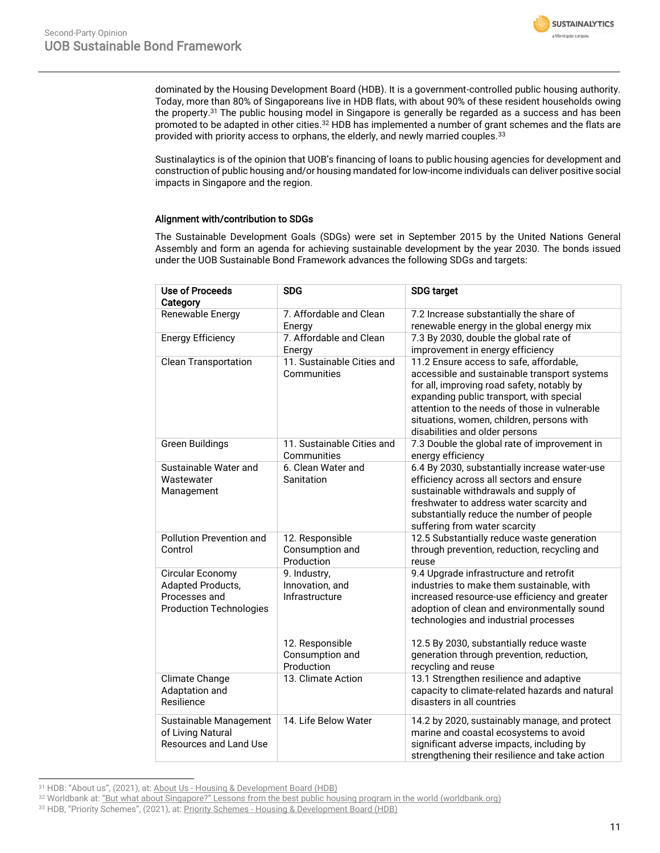**SUSTAINALYTICS** a Morninostar company

dominated by the Housing Development Board (HDB). It is a government-controlled public housing authority. Today, more than 80% of Singaporeans live in HDB flats, with about 90% of these resident households owing the property.<sup>31</sup> The public housing model in Singapore is generally be regarded as a success and has been promoted to be adapted in other cities. $^{32}$  HDB has implemented a number of grant schemes and the flats are provided with priority access to orphans, the elderly, and newly married couples.<sup>33</sup>

Sustinalaytics is of the opinion that UOB's financing of loans to public housing agencies for development and construction of public housing and/or housing mandated for low-income individuals can deliver positive social impacts in Singapore and the region.

### Alignment with/contribution to SDGs

The Sustainable Development Goals (SDGs) were set in September 2015 by the United Nations General Assembly and form an agenda for achieving sustainable development by the year 2030. The bonds issued under the UOB Sustainable Bond Framework advances the following SDGs and targets:

| <b>Use of Proceeds</b><br>Category                                                              | <b>SDG</b>                                                                              | <b>SDG</b> target                                                                                                                                                                                                                                                                                                      |
|-------------------------------------------------------------------------------------------------|-----------------------------------------------------------------------------------------|------------------------------------------------------------------------------------------------------------------------------------------------------------------------------------------------------------------------------------------------------------------------------------------------------------------------|
| Renewable Energy                                                                                | 7. Affordable and Clean<br>Energy                                                       | 7.2 Increase substantially the share of<br>renewable energy in the global energy mix                                                                                                                                                                                                                                   |
| <b>Energy Efficiency</b>                                                                        | 7. Affordable and Clean<br>Energy                                                       | 7.3 By 2030, double the global rate of<br>improvement in energy efficiency                                                                                                                                                                                                                                             |
| <b>Clean Transportation</b>                                                                     | 11. Sustainable Cities and<br>Communities                                               | 11.2 Ensure access to safe, affordable,<br>accessible and sustainable transport systems<br>for all, improving road safety, notably by<br>expanding public transport, with special<br>attention to the needs of those in vulnerable<br>situations, women, children, persons with<br>disabilities and older persons      |
| <b>Green Buildings</b>                                                                          | 11. Sustainable Cities and<br>Communities                                               | 7.3 Double the global rate of improvement in<br>energy efficiency                                                                                                                                                                                                                                                      |
| Sustainable Water and<br>Wastewater<br>Management                                               | 6. Clean Water and<br>Sanitation                                                        | 6.4 By 2030, substantially increase water-use<br>efficiency across all sectors and ensure<br>sustainable withdrawals and supply of<br>freshwater to address water scarcity and<br>substantially reduce the number of people<br>suffering from water scarcity                                                           |
| Pollution Prevention and<br>Control                                                             | 12. Responsible<br>Consumption and<br>Production                                        | 12.5 Substantially reduce waste generation<br>through prevention, reduction, recycling and<br>reuse                                                                                                                                                                                                                    |
| Circular Economy<br><b>Adapted Products,</b><br>Processes and<br><b>Production Technologies</b> | 9. Industry,<br>Innovation, and<br>Infrastructure<br>12. Responsible<br>Consumption and | 9.4 Upgrade infrastructure and retrofit<br>industries to make them sustainable, with<br>increased resource-use efficiency and greater<br>adoption of clean and environmentally sound<br>technologies and industrial processes<br>12.5 By 2030, substantially reduce waste<br>generation through prevention, reduction, |
|                                                                                                 | Production                                                                              | recycling and reuse                                                                                                                                                                                                                                                                                                    |
| Climate Change<br>Adaptation and<br>Resilience                                                  | 13. Climate Action                                                                      | 13.1 Strengthen resilience and adaptive<br>capacity to climate-related hazards and natural<br>disasters in all countries                                                                                                                                                                                               |
| Sustainable Management<br>of Living Natural<br>Resources and Land Use                           | 14. Life Below Water                                                                    | 14.2 by 2020, sustainably manage, and protect<br>marine and coastal ecosystems to avoid<br>significant adverse impacts, including by<br>strengthening their resilience and take action                                                                                                                                 |

<sup>&</sup>lt;sup>31</sup> HDB: "About us", (2021), at: About Us - [Housing & Development Board \(HDB\)](https://www.hdb.gov.sg/cs/infoweb/about-us)

<sup>32</sup> Worldbank at: ["But what about Singapore?" Lessons from the best public housing program in the world \(worldbank.org\)](https://blogs.worldbank.org/sustainablecities/what-about-singapore-lessons-best-public-housing-program-world)

<sup>33</sup> HDB, "Priority Schemes", (2021), at: Priority Schemes - [Housing & Development Board \(HDB\)](https://www.hdb.gov.sg/cs/infoweb/residential/buying-a-flat/new/eligibility/priority-schemes)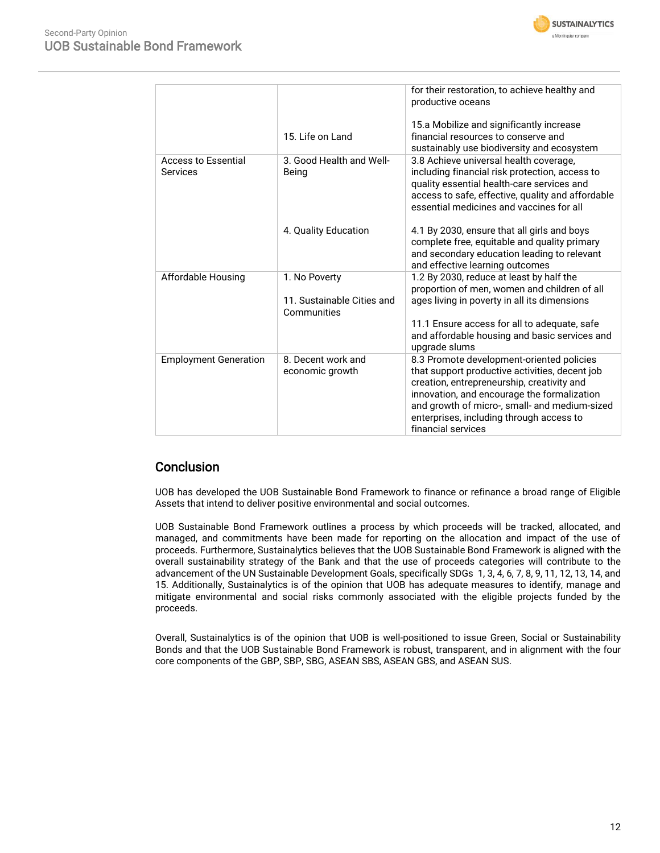

|                                 |                                                            | for their restoration, to achieve healthy and<br>productive oceans                                                                                                                                                                                                                                          |
|---------------------------------|------------------------------------------------------------|-------------------------------------------------------------------------------------------------------------------------------------------------------------------------------------------------------------------------------------------------------------------------------------------------------------|
|                                 | 15. Life on Land                                           | 15.a Mobilize and significantly increase<br>financial resources to conserve and<br>sustainably use biodiversity and ecosystem                                                                                                                                                                               |
| Access to Essential<br>Services | 3. Good Health and Well-<br>Being                          | 3.8 Achieve universal health coverage,<br>including financial risk protection, access to<br>quality essential health-care services and<br>access to safe, effective, quality and affordable<br>essential medicines and vaccines for all                                                                     |
|                                 | 4. Quality Education                                       | 4.1 By 2030, ensure that all girls and boys<br>complete free, equitable and quality primary<br>and secondary education leading to relevant<br>and effective learning outcomes                                                                                                                               |
| Affordable Housing              | 1. No Poverty<br>11. Sustainable Cities and<br>Communities | 1.2 By 2030, reduce at least by half the<br>proportion of men, women and children of all<br>ages living in poverty in all its dimensions<br>11.1 Ensure access for all to adequate, safe<br>and affordable housing and basic services and<br>upgrade slums                                                  |
| <b>Employment Generation</b>    | 8. Decent work and<br>economic growth                      | 8.3 Promote development-oriented policies<br>that support productive activities, decent job<br>creation, entrepreneurship, creativity and<br>innovation, and encourage the formalization<br>and growth of micro-, small- and medium-sized<br>enterprises, including through access to<br>financial services |

### **Conclusion**

UOB has developed the UOB Sustainable Bond Framework to finance or refinance a broad range of Eligible Assets that intend to deliver positive environmental and social outcomes.

UOB Sustainable Bond Framework outlines a process by which proceeds will be tracked, allocated, and managed, and commitments have been made for reporting on the allocation and impact of the use of proceeds. Furthermore, Sustainalytics believes that the UOB Sustainable Bond Framework is aligned with the overall sustainability strategy of the Bank and that the use of proceeds categories will contribute to the advancement of the UN Sustainable Development Goals, specifically SDGs 1, 3, 4, 6, 7, 8, 9, 11, 12, 13, 14, and 15. Additionally, Sustainalytics is of the opinion that UOB has adequate measures to identify, manage and mitigate environmental and social risks commonly associated with the eligible projects funded by the proceeds.

<span id="page-11-0"></span>Overall, Sustainalytics is of the opinion that UOB is well-positioned to issue Green, Social or Sustainability Bonds and that the UOB Sustainable Bond Framework is robust, transparent, and in alignment with the four core components of the GBP, SBP, SBG, ASEAN SBS, ASEAN GBS, and ASEAN SUS.

**SUSTAINALYTICS** a Morninostar company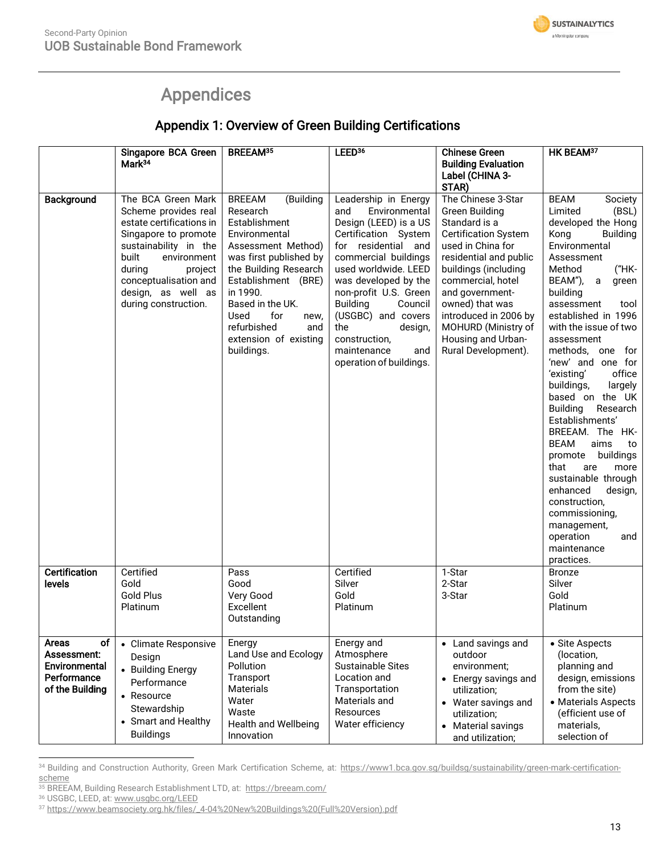

## Appendices

## Appendix 1: Overview of Green Building Certifications

|                                                                               | Singapore BCA Green<br>Mark <sup>34</sup>                                                                                                                                                                                                   | BREEAM <sup>35</sup>                                                                                                                                                                                                                                                                         | LEED <sup>36</sup>                                                                                                                                                                                                                                                                                                                                            | <b>Chinese Green</b><br><b>Building Evaluation</b><br>Label (CHINA 3-<br>STAR)                                                                                                                                                                                                                                             | HK BEAM <sup>37</sup>                                                                                                                                                                                                                                                                                                                                                                                                                                                                                                                                                                                                                                                                 |
|-------------------------------------------------------------------------------|---------------------------------------------------------------------------------------------------------------------------------------------------------------------------------------------------------------------------------------------|----------------------------------------------------------------------------------------------------------------------------------------------------------------------------------------------------------------------------------------------------------------------------------------------|---------------------------------------------------------------------------------------------------------------------------------------------------------------------------------------------------------------------------------------------------------------------------------------------------------------------------------------------------------------|----------------------------------------------------------------------------------------------------------------------------------------------------------------------------------------------------------------------------------------------------------------------------------------------------------------------------|---------------------------------------------------------------------------------------------------------------------------------------------------------------------------------------------------------------------------------------------------------------------------------------------------------------------------------------------------------------------------------------------------------------------------------------------------------------------------------------------------------------------------------------------------------------------------------------------------------------------------------------------------------------------------------------|
| Background                                                                    | The BCA Green Mark<br>Scheme provides real<br>estate certifications in<br>Singapore to promote<br>sustainability in the<br>built<br>environment<br>during<br>project<br>conceptualisation and<br>design, as well as<br>during construction. | <b>BREEAM</b><br>(Building<br>Research<br>Establishment<br>Environmental<br>Assessment Method)<br>was first published by<br>the Building Research<br>Establishment (BRE)<br>in 1990.<br>Based in the UK.<br>Used<br>for<br>new,<br>refurbished<br>and<br>extension of existing<br>buildings. | Leadership in Energy<br>and<br>Environmental<br>Design (LEED) is a US<br>Certification System<br>for residential and<br>commercial buildings<br>used worldwide. LEED<br>was developed by the<br>non-profit U.S. Green<br><b>Building</b><br>Council<br>(USGBC) and covers<br>the<br>design,<br>construction,<br>maintenance<br>and<br>operation of buildings. | The Chinese 3-Star<br><b>Green Building</b><br>Standard is a<br><b>Certification System</b><br>used in China for<br>residential and public<br>buildings (including<br>commercial, hotel<br>and government-<br>owned) that was<br>introduced in 2006 by<br>MOHURD (Ministry of<br>Housing and Urban-<br>Rural Development). | <b>BEAM</b><br>Society<br>Limited<br>(BSL)<br>developed the Hong<br>Kong<br><b>Building</b><br>Environmental<br>Assessment<br>("HK-<br>Method<br>BEAM"),<br>a<br>green<br>building<br>assessment<br>tool<br>established in 1996<br>with the issue of two<br>assessment<br>methods, one for<br>'new' and one for<br>'existing'<br>office<br>buildings,<br>largely<br>based on the UK<br><b>Building</b><br>Research<br>Establishments'<br>BREEAM. The HK-<br><b>BEAM</b><br>aims<br>to<br>buildings<br>promote<br>that<br>are<br>more<br>sustainable through<br>enhanced<br>design,<br>construction,<br>commissioning,<br>management,<br>operation<br>and<br>maintenance<br>practices. |
| <b>Certification</b><br>levels                                                | Certified<br>Gold<br><b>Gold Plus</b><br>Platinum                                                                                                                                                                                           | Pass<br>Good<br>Very Good<br>Excellent<br>Outstanding                                                                                                                                                                                                                                        | Certified<br>Silver<br>Gold<br>Platinum                                                                                                                                                                                                                                                                                                                       | 1-Star<br>2-Star<br>3-Star                                                                                                                                                                                                                                                                                                 | <b>Bronze</b><br>Silver<br>Gold<br>Platinum                                                                                                                                                                                                                                                                                                                                                                                                                                                                                                                                                                                                                                           |
| οf<br>Areas<br>Assessment:<br>Environmental<br>Performance<br>of the Building | • Climate Responsive<br>Design<br>• Building Energy<br>Performance<br>• Resource<br>Stewardship<br>• Smart and Healthy<br><b>Buildings</b>                                                                                                  | Energy<br>Land Use and Ecology<br>Pollution<br>Transport<br><b>Materials</b><br>Water<br>Waste<br><b>Health and Wellbeing</b><br>Innovation                                                                                                                                                  | Energy and<br>Atmosphere<br><b>Sustainable Sites</b><br>Location and<br>Transportation<br>Materials and<br>Resources<br>Water efficiency                                                                                                                                                                                                                      | • Land savings and<br>outdoor<br>environment;<br>• Energy savings and<br>utilization;<br>• Water savings and<br>utilization;<br>• Material savings<br>and utilization;                                                                                                                                                     | • Site Aspects<br>(location,<br>planning and<br>design, emissions<br>from the site)<br>• Materials Aspects<br>(efficient use of<br>materials,<br>selection of                                                                                                                                                                                                                                                                                                                                                                                                                                                                                                                         |

<sup>34</sup> Building and Construction Authority, Green Mark Certification Scheme, at: https://www1.bca.gov.sg/buildsg/sustainability/green-mark-certification-<u>scheme</u>

<sup>&</sup>lt;sup>35</sup> BREEAM, Building Research Establishment LTD, at:<https://breeam.com/>

<sup>&</sup>lt;sup>36</sup> USGBC, LEED, at: www.usgbc.org/LEED

<sup>&</sup>lt;sup>36</sup> USGBC, LEED, at: www.usgbc.org/LEED<br><sup>37</sup> [https://www.beamsociety.org.hk/files/\\_4-04%20New%20Buildings%20\(Full%20Version\).pdf](https://www.beamsociety.org.hk/files/_4-04%20New%20Buildings%20(Full%20Version).pdf)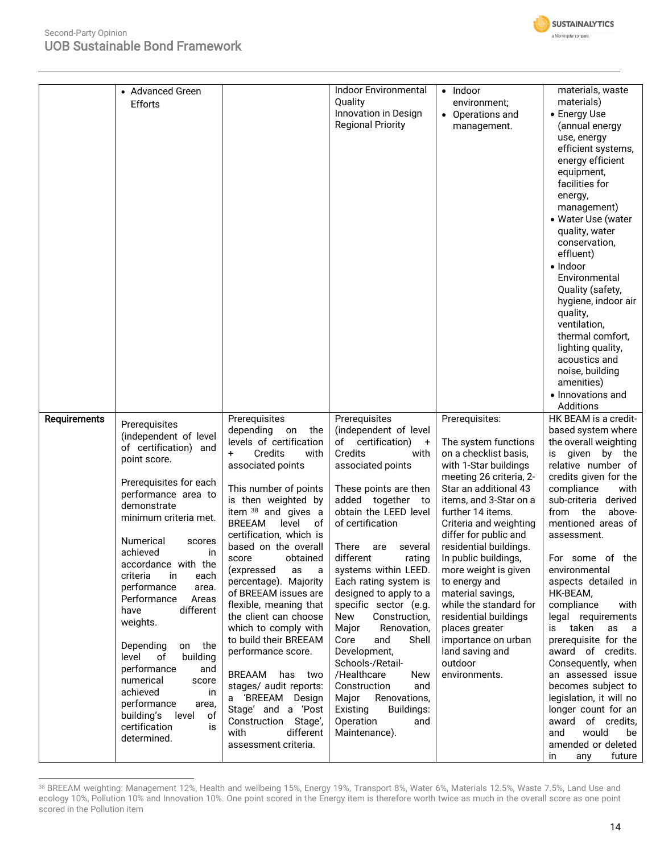

|                     | • Advanced Green<br>Efforts                                                                                                                                                                                                                                                                                                                                                                                                                                                                                                                      |                                                                                                                                                                                                                                                                                                                                                                                                                                                                                                                                                                                                                                                            | <b>Indoor Environmental</b><br>Quality<br>Innovation in Design<br><b>Regional Priority</b>                                                                                                                                                                                                                                                                                                                                                                                                                                                                                                                 | $\bullet$ Indoor<br>environment;<br>• Operations and<br>management.                                                                                                                                                                                                                                                                                                                                                                                                                     | materials, waste<br>materials)<br>• Energy Use<br>(annual energy<br>use, energy<br>efficient systems,<br>energy efficient<br>equipment,<br>facilities for<br>energy,<br>management)<br>• Water Use (water<br>quality, water<br>conservation,<br>effluent)<br>$\bullet$ Indoor<br>Environmental<br>Quality (safety,<br>hygiene, indoor air<br>quality,<br>ventilation,<br>thermal comfort,<br>lighting quality,<br>acoustics and<br>noise, building<br>amenities)<br>• Innovations and<br>Additions                                                                                                                                   |
|---------------------|--------------------------------------------------------------------------------------------------------------------------------------------------------------------------------------------------------------------------------------------------------------------------------------------------------------------------------------------------------------------------------------------------------------------------------------------------------------------------------------------------------------------------------------------------|------------------------------------------------------------------------------------------------------------------------------------------------------------------------------------------------------------------------------------------------------------------------------------------------------------------------------------------------------------------------------------------------------------------------------------------------------------------------------------------------------------------------------------------------------------------------------------------------------------------------------------------------------------|------------------------------------------------------------------------------------------------------------------------------------------------------------------------------------------------------------------------------------------------------------------------------------------------------------------------------------------------------------------------------------------------------------------------------------------------------------------------------------------------------------------------------------------------------------------------------------------------------------|-----------------------------------------------------------------------------------------------------------------------------------------------------------------------------------------------------------------------------------------------------------------------------------------------------------------------------------------------------------------------------------------------------------------------------------------------------------------------------------------|--------------------------------------------------------------------------------------------------------------------------------------------------------------------------------------------------------------------------------------------------------------------------------------------------------------------------------------------------------------------------------------------------------------------------------------------------------------------------------------------------------------------------------------------------------------------------------------------------------------------------------------|
| <b>Requirements</b> | Prerequisites                                                                                                                                                                                                                                                                                                                                                                                                                                                                                                                                    | Prerequisites                                                                                                                                                                                                                                                                                                                                                                                                                                                                                                                                                                                                                                              | Prerequisites                                                                                                                                                                                                                                                                                                                                                                                                                                                                                                                                                                                              | Prerequisites:                                                                                                                                                                                                                                                                                                                                                                                                                                                                          | HK BEAM is a credit-                                                                                                                                                                                                                                                                                                                                                                                                                                                                                                                                                                                                                 |
|                     | (independent of level<br>of certification) and<br>point score.<br>Prerequisites for each<br>performance area to<br>demonstrate<br>minimum criteria met.<br>Numerical<br>scores<br>achieved<br>ın<br>accordance with the<br>criteria<br>in<br>each<br>performance<br>area.<br>Performance<br>Areas<br>different<br>have<br>weights.<br>Depending<br>on<br>the<br>level<br>of<br>building<br>performance<br>and<br>numerical<br>score<br>achieved<br>in<br>performance<br>area,<br>building's<br>level<br>οf<br>certification<br>is<br>determined. | depending<br>the<br>on<br>levels of certification<br>Credits<br>$\ddot{}$<br>with<br>associated points<br>This number of points<br>is then weighted by<br>item 38 and gives a<br><b>BREEAM</b><br>of<br>level<br>certification, which is<br>based on the overall<br>obtained<br>score<br>(expressed<br>as<br>a<br>percentage). Majority<br>of BREEAM issues are<br>flexible, meaning that<br>the client can choose<br>which to comply with<br>to build their BREEAM<br>performance score.<br>BREAAM<br>has two<br>stages/ audit reports:<br>a 'BREEAM Design<br>Stage' and a 'Post<br>Construction<br>Stage',<br>different<br>with<br>assessment criteria. | (independent of level<br>of<br>certification)<br>$+$<br>Credits<br>with<br>associated points<br>These points are then<br>added together<br>to t<br>obtain the LEED level<br>of certification<br>There<br>are<br>several<br>different<br>rating<br>systems within LEED.<br>Each rating system is<br>designed to apply to a<br>specific sector (e.g.<br>New<br>Construction,<br>Major<br>Renovation,<br>Core<br>Shell<br>and<br>Development,<br>Schools-/Retail-<br>/Healthcare<br><b>New</b><br>Construction<br>and<br>Major<br>Renovations,<br>Existing<br>Buildings:<br>Operation<br>and<br>Maintenance). | The system functions<br>on a checklist basis,<br>with 1-Star buildings<br>meeting 26 criteria, 2-<br>Star an additional 43<br>items, and 3-Star on a<br>further 14 items.<br>Criteria and weighting<br>differ for public and<br>residential buildings.<br>In public buildings,<br>more weight is given<br>to energy and<br>material savings,<br>while the standard for<br>residential buildings<br>places greater<br>importance on urban<br>land saving and<br>outdoor<br>environments. | based system where<br>the overall weighting<br>given by<br>the<br>is<br>relative number of<br>credits given for the<br>compliance<br>with<br>sub-criteria derived<br>the<br>from<br>above-<br>mentioned areas of<br>assessment.<br>For some of the<br>environmental<br>aspects detailed in<br>HK-BEAM,<br>compliance<br>with<br>legal requirements<br>taken<br>is<br>as<br>a<br>prerequisite for the<br>award of credits.<br>Consequently, when<br>an assessed issue<br>becomes subject to<br>legislation, it will no<br>longer count for an<br>award of credits,<br>would<br>and<br>be<br>amended or deleted<br>future<br>in<br>any |

<sup>38</sup> BREEAM weighting: Management 12%, Health and wellbeing 15%, Energy 19%, Transport 8%, Water 6%, Materials 12.5%, Waste 7.5%, Land Use and ecology 10%, Pollution 10% and Innovation 10%. One point scored in the Energy item is therefore worth twice as much in the overall score as one point scored in the Pollution item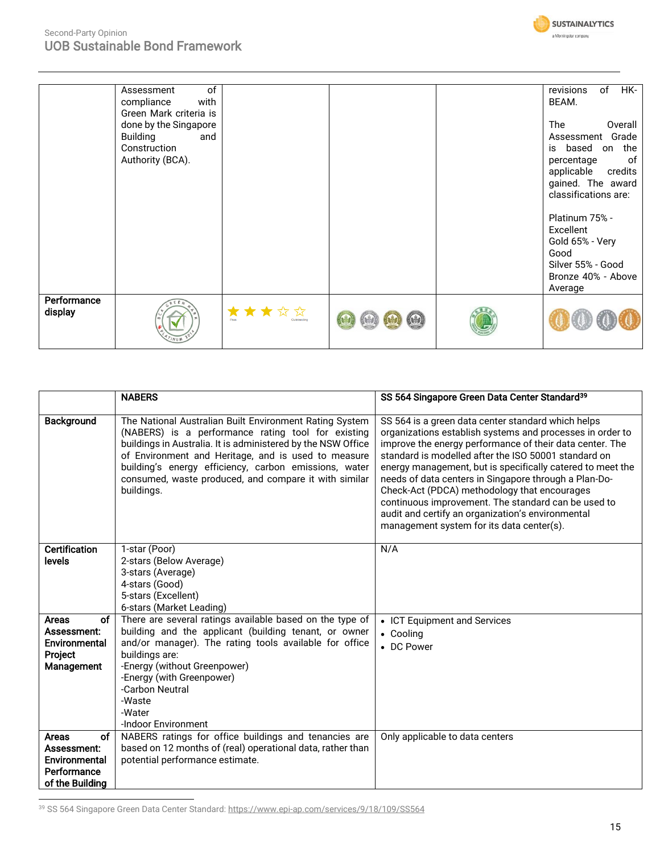

### Second-Party Opinion UOB Sustainable Bond Framework

|                        | of<br>Assessment<br>with<br>compliance<br>Green Mark criteria is<br>done by the Singapore<br><b>Building</b><br>and<br>Construction<br>Authority (BCA). |                      |  | HK-<br>of<br>revisions<br>BEAM.<br><b>The</b><br>Overall<br>Assessment Grade<br>is based on the<br>0f<br>percentage<br>applicable<br>credits<br>gained. The award<br>classifications are: |
|------------------------|---------------------------------------------------------------------------------------------------------------------------------------------------------|----------------------|--|-------------------------------------------------------------------------------------------------------------------------------------------------------------------------------------------|
|                        |                                                                                                                                                         |                      |  | Platinum 75% -<br>Excellent<br>Gold 65% - Very<br>Good<br>Silver 55% - Good<br>Bronze 40% - Above<br>Average                                                                              |
| Performance<br>display |                                                                                                                                                         | ★★★☆☆<br>Outstanding |  |                                                                                                                                                                                           |

|                                                                                      | <b>NABERS</b>                                                                                                                                                                                                                                                                                                                                                        | SS 564 Singapore Green Data Center Standard <sup>39</sup>                                                                                                                                                                                                                                                                                                                                                                                                                                                                                                           |
|--------------------------------------------------------------------------------------|----------------------------------------------------------------------------------------------------------------------------------------------------------------------------------------------------------------------------------------------------------------------------------------------------------------------------------------------------------------------|---------------------------------------------------------------------------------------------------------------------------------------------------------------------------------------------------------------------------------------------------------------------------------------------------------------------------------------------------------------------------------------------------------------------------------------------------------------------------------------------------------------------------------------------------------------------|
| Background                                                                           | The National Australian Built Environment Rating System<br>(NABERS) is a performance rating tool for existing<br>buildings in Australia. It is administered by the NSW Office<br>of Environment and Heritage, and is used to measure<br>building's energy efficiency, carbon emissions, water<br>consumed, waste produced, and compare it with similar<br>buildings. | SS 564 is a green data center standard which helps<br>organizations establish systems and processes in order to<br>improve the energy performance of their data center. The<br>standard is modelled after the ISO 50001 standard on<br>energy management, but is specifically catered to meet the<br>needs of data centers in Singapore through a Plan-Do-<br>Check-Act (PDCA) methodology that encourages<br>continuous improvement. The standard can be used to<br>audit and certify an organization's environmental<br>management system for its data center(s). |
| <b>Certification</b><br>levels                                                       | 1-star (Poor)<br>2-stars (Below Average)<br>3-stars (Average)<br>4-stars (Good)<br>5-stars (Excellent)<br>6-stars (Market Leading)                                                                                                                                                                                                                                   | N/A                                                                                                                                                                                                                                                                                                                                                                                                                                                                                                                                                                 |
| <b>Areas</b><br>οf<br>Assessment:<br>Environmental<br>Project<br>Management          | There are several ratings available based on the type of<br>building and the applicant (building tenant, or owner<br>and/or manager). The rating tools available for office<br>buildings are:<br>-Energy (without Greenpower)<br>-Energy (with Greenpower)<br>-Carbon Neutral<br>-Waste<br>-Water<br>-Indoor Environment                                             | • ICT Equipment and Services<br>• Cooling<br>• DC Power                                                                                                                                                                                                                                                                                                                                                                                                                                                                                                             |
| <b>Areas</b><br>οf<br>Assessment:<br>Environmental<br>Performance<br>of the Building | NABERS ratings for office buildings and tenancies are<br>based on 12 months of (real) operational data, rather than<br>potential performance estimate.                                                                                                                                                                                                               | Only applicable to data centers                                                                                                                                                                                                                                                                                                                                                                                                                                                                                                                                     |

39 SS 564 Singapore Green Data Center Standard[: https://www.epi-ap.com/services/9/18/109/SS564](https://www.epi-ap.com/services/9/18/109/SS564)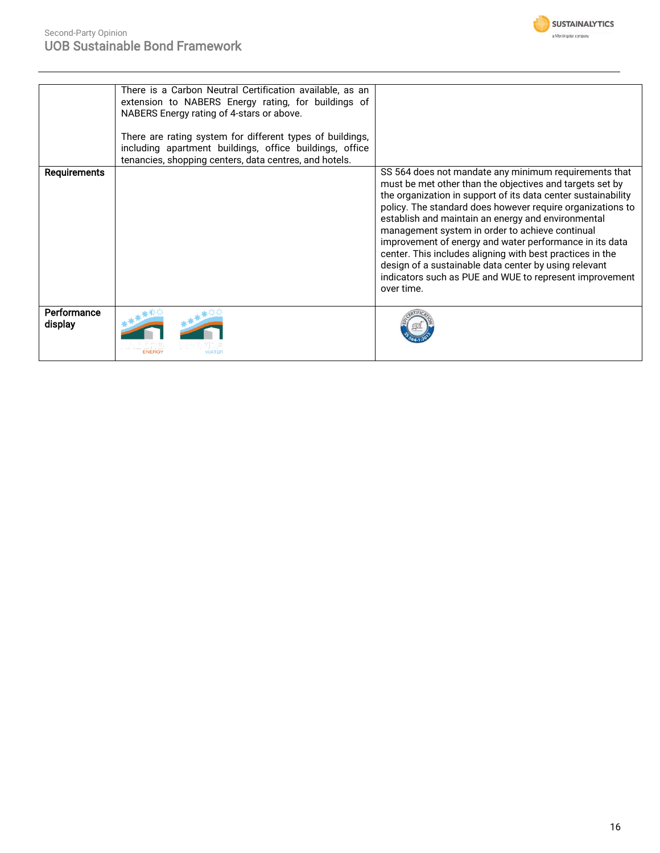

|              | There is a Carbon Neutral Certification available, as an  |                                                                                                                             |
|--------------|-----------------------------------------------------------|-----------------------------------------------------------------------------------------------------------------------------|
|              | extension to NABERS Energy rating, for buildings of       |                                                                                                                             |
|              | NABERS Energy rating of 4-stars or above.                 |                                                                                                                             |
|              | There are rating system for different types of buildings, |                                                                                                                             |
|              | including apartment buildings, office buildings, office   |                                                                                                                             |
|              | tenancies, shopping centers, data centres, and hotels.    |                                                                                                                             |
|              |                                                           |                                                                                                                             |
| Requirements |                                                           | SS 564 does not mandate any minimum requirements that<br>must be met other than the objectives and targets set by           |
|              |                                                           |                                                                                                                             |
|              |                                                           | the organization in support of its data center sustainability<br>policy. The standard does however require organizations to |
|              |                                                           |                                                                                                                             |
|              |                                                           | establish and maintain an energy and environmental                                                                          |
|              |                                                           | management system in order to achieve continual                                                                             |
|              |                                                           | improvement of energy and water performance in its data                                                                     |
|              |                                                           | center. This includes aligning with best practices in the                                                                   |
|              |                                                           | design of a sustainable data center by using relevant                                                                       |
|              |                                                           | indicators such as PUE and WUE to represent improvement                                                                     |
|              |                                                           | over time.                                                                                                                  |
|              |                                                           |                                                                                                                             |
| Performance  |                                                           |                                                                                                                             |
| display      |                                                           |                                                                                                                             |
|              |                                                           |                                                                                                                             |
|              | <b>WATEF</b>                                              |                                                                                                                             |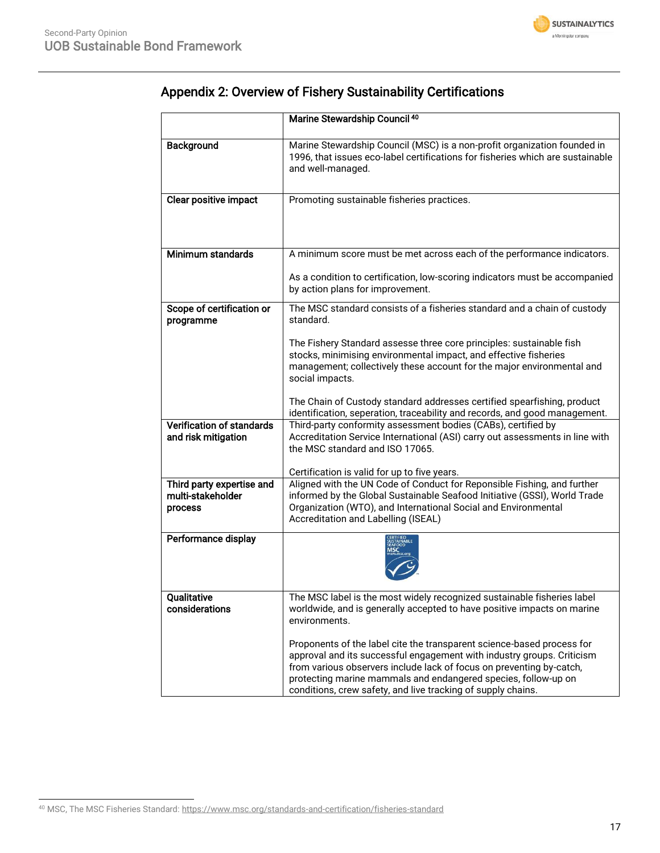

|                                                           | Marine Stewardship Council 40                                                                                                                                                                                                                                                                                                                              |
|-----------------------------------------------------------|------------------------------------------------------------------------------------------------------------------------------------------------------------------------------------------------------------------------------------------------------------------------------------------------------------------------------------------------------------|
| <b>Background</b>                                         | Marine Stewardship Council (MSC) is a non-profit organization founded in<br>1996, that issues eco-label certifications for fisheries which are sustainable<br>and well-managed.                                                                                                                                                                            |
| <b>Clear positive impact</b>                              | Promoting sustainable fisheries practices.                                                                                                                                                                                                                                                                                                                 |
| Minimum standards                                         | A minimum score must be met across each of the performance indicators.                                                                                                                                                                                                                                                                                     |
|                                                           | As a condition to certification, low-scoring indicators must be accompanied<br>by action plans for improvement.                                                                                                                                                                                                                                            |
| Scope of certification or<br>programme                    | The MSC standard consists of a fisheries standard and a chain of custody<br>standard.                                                                                                                                                                                                                                                                      |
|                                                           | The Fishery Standard assesse three core principles: sustainable fish<br>stocks, minimising environmental impact, and effective fisheries<br>management; collectively these account for the major environmental and<br>social impacts.                                                                                                                      |
|                                                           | The Chain of Custody standard addresses certified spearfishing, product<br>identification, seperation, traceability and records, and good management.                                                                                                                                                                                                      |
| <b>Verification of standards</b><br>and risk mitigation   | Third-party conformity assessment bodies (CABs), certified by<br>Accreditation Service International (ASI) carry out assessments in line with<br>the MSC standard and ISO 17065.                                                                                                                                                                           |
|                                                           | Certification is valid for up to five years.                                                                                                                                                                                                                                                                                                               |
| Third party expertise and<br>multi-stakeholder<br>process | Aligned with the UN Code of Conduct for Reponsible Fishing, and further<br>informed by the Global Sustainable Seafood Initiative (GSSI), World Trade<br>Organization (WTO), and International Social and Environmental<br>Accreditation and Labelling (ISEAL)                                                                                              |
| Performance display                                       |                                                                                                                                                                                                                                                                                                                                                            |
| Qualitative<br>considerations                             | The MSC label is the most widely recognized sustainable fisheries label<br>worldwide, and is generally accepted to have positive impacts on marine<br>environments.                                                                                                                                                                                        |
|                                                           | Proponents of the label cite the transparent science-based process for<br>approval and its successful engagement with industry groups. Criticism<br>from various observers include lack of focus on preventing by-catch,<br>protecting marine mammals and endangered species, follow-up on<br>conditions, crew safety, and live tracking of supply chains. |

## Appendix 2: Overview of Fishery Sustainability Certifications

<sup>40</sup> MSC, The MSC Fisheries Standard[: https://www.msc.org/standards-and-certification/fisheries-standard](https://www.msc.org/standards-and-certification/fisheries-standard)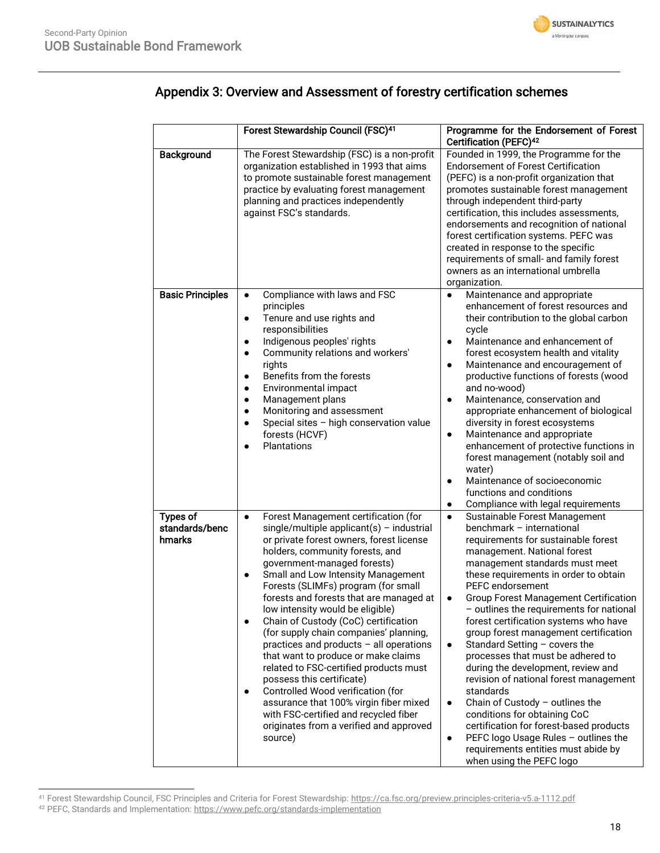

## Appendix 3: Overview and Assessment of forestry certification schemes

|                                             | Forest Stewardship Council (FSC) <sup>41</sup>                                                                                                                                                                                                                                                                                                                                                                                                                                                                                                                                                                                                                                                                                                                                                                   | Programme for the Endorsement of Forest<br>Certification (PEFC) <sup>42</sup>                                                                                                                                                                                                                                                                                                                                                                                                                                                                                                                                                                                                                                                                                                                                                                                                       |
|---------------------------------------------|------------------------------------------------------------------------------------------------------------------------------------------------------------------------------------------------------------------------------------------------------------------------------------------------------------------------------------------------------------------------------------------------------------------------------------------------------------------------------------------------------------------------------------------------------------------------------------------------------------------------------------------------------------------------------------------------------------------------------------------------------------------------------------------------------------------|-------------------------------------------------------------------------------------------------------------------------------------------------------------------------------------------------------------------------------------------------------------------------------------------------------------------------------------------------------------------------------------------------------------------------------------------------------------------------------------------------------------------------------------------------------------------------------------------------------------------------------------------------------------------------------------------------------------------------------------------------------------------------------------------------------------------------------------------------------------------------------------|
| Background                                  | The Forest Stewardship (FSC) is a non-profit<br>organization established in 1993 that aims<br>to promote sustainable forest management<br>practice by evaluating forest management<br>planning and practices independently<br>against FSC's standards.                                                                                                                                                                                                                                                                                                                                                                                                                                                                                                                                                           | Founded in 1999, the Programme for the<br><b>Endorsement of Forest Certification</b><br>(PEFC) is a non-profit organization that<br>promotes sustainable forest management<br>through independent third-party<br>certification, this includes assessments,<br>endorsements and recognition of national<br>forest certification systems. PEFC was<br>created in response to the specific<br>requirements of small- and family forest<br>owners as an international umbrella<br>organization.                                                                                                                                                                                                                                                                                                                                                                                         |
| <b>Basic Principles</b>                     | Compliance with laws and FSC<br>$\bullet$<br>principles<br>Tenure and use rights and<br>$\bullet$<br>responsibilities<br>Indigenous peoples' rights<br>٠<br>Community relations and workers'<br>$\bullet$<br>rights<br>Benefits from the forests<br>$\bullet$<br>Environmental impact<br>$\bullet$<br>Management plans<br>٠<br>Monitoring and assessment<br>$\bullet$<br>Special sites - high conservation value<br>$\bullet$<br>forests (HCVF)<br>Plantations                                                                                                                                                                                                                                                                                                                                                   | Maintenance and appropriate<br>$\bullet$<br>enhancement of forest resources and<br>their contribution to the global carbon<br>cycle<br>Maintenance and enhancement of<br>forest ecosystem health and vitality<br>Maintenance and encouragement of<br>$\bullet$<br>productive functions of forests (wood<br>and no-wood)<br>Maintenance, conservation and<br>$\bullet$<br>appropriate enhancement of biological<br>diversity in forest ecosystems<br>Maintenance and appropriate<br>$\bullet$<br>enhancement of protective functions in<br>forest management (notably soil and<br>water)<br>Maintenance of socioeconomic<br>$\bullet$<br>functions and conditions<br>Compliance with legal requirements<br>$\bullet$                                                                                                                                                                 |
| <b>Types of</b><br>standards/benc<br>hmarks | Forest Management certification (for<br>$\bullet$<br>single/multiple applicant(s) - industrial<br>or private forest owners, forest license<br>holders, community forests, and<br>government-managed forests)<br>Small and Low Intensity Management<br>٠<br>Forests (SLIMFs) program (for small<br>forests and forests that are managed at<br>low intensity would be eligible)<br>Chain of Custody (CoC) certification<br>٠<br>(for supply chain companies' planning,<br>practices and products - all operations<br>that want to produce or make claims<br>related to FSC-certified products must<br>possess this certificate)<br>Controlled Wood verification (for<br>٠<br>assurance that 100% virgin fiber mixed<br>with FSC-certified and recycled fiber<br>originates from a verified and approved<br>source) | Sustainable Forest Management<br>$\bullet$<br>benchmark - international<br>requirements for sustainable forest<br>management. National forest<br>management standards must meet<br>these requirements in order to obtain<br><b>PEFC</b> endorsement<br><b>Group Forest Management Certification</b><br>$\bullet$<br>- outlines the requirements for national<br>forest certification systems who have<br>group forest management certification<br>Standard Setting - covers the<br>$\bullet$<br>processes that must be adhered to<br>during the development, review and<br>revision of national forest management<br>standards<br>Chain of Custody $-$ outlines the<br>$\bullet$<br>conditions for obtaining CoC<br>certification for forest-based products<br>PEFC logo Usage Rules - outlines the<br>$\bullet$<br>requirements entities must abide by<br>when using the PEFC logo |

<sup>&</sup>lt;sup>41</sup> Forest Stewardship Council, FSC Principles and Criteria for Forest Stewardship: <u>https://ca.fsc.org/preview.principles-criteria-v5.a-1112.pdf</u>

<sup>&</sup>lt;sup>42</sup> PEFC, Standards and Implementation:<https://www.pefc.org/standards-implementation>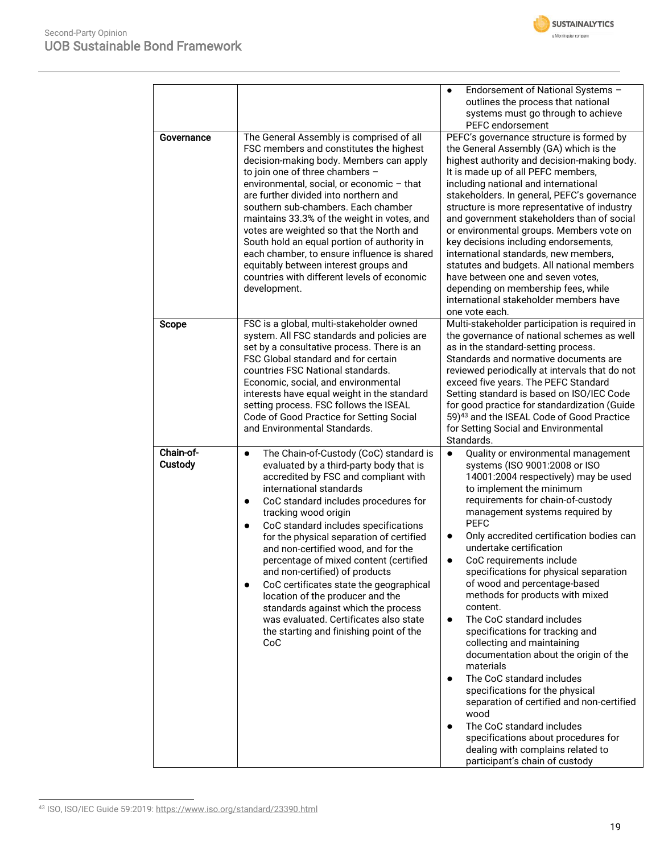

|                      |                                                                                                                                                                                                                                                                                                                                                                                                                                                                                                                                                                                                                                                                                                   | Endorsement of National Systems -<br>٠<br>outlines the process that national<br>systems must go through to achieve<br>PEFC endorsement                                                                                                                                                                                                                                                                                                                                                                                                                                                                                                                                                                                                                                                                                                                                                                                                          |
|----------------------|---------------------------------------------------------------------------------------------------------------------------------------------------------------------------------------------------------------------------------------------------------------------------------------------------------------------------------------------------------------------------------------------------------------------------------------------------------------------------------------------------------------------------------------------------------------------------------------------------------------------------------------------------------------------------------------------------|-------------------------------------------------------------------------------------------------------------------------------------------------------------------------------------------------------------------------------------------------------------------------------------------------------------------------------------------------------------------------------------------------------------------------------------------------------------------------------------------------------------------------------------------------------------------------------------------------------------------------------------------------------------------------------------------------------------------------------------------------------------------------------------------------------------------------------------------------------------------------------------------------------------------------------------------------|
| Governance           | The General Assembly is comprised of all<br>FSC members and constitutes the highest<br>decision-making body. Members can apply<br>to join one of three chambers -<br>environmental, social, or economic - that<br>are further divided into northern and<br>southern sub-chambers. Each chamber<br>maintains 33.3% of the weight in votes, and<br>votes are weighted so that the North and<br>South hold an equal portion of authority in<br>each chamber, to ensure influence is shared<br>equitably between interest groups and<br>countries with different levels of economic<br>development.                                                                                                   | PEFC's governance structure is formed by<br>the General Assembly (GA) which is the<br>highest authority and decision-making body.<br>It is made up of all PEFC members,<br>including national and international<br>stakeholders. In general, PEFC's governance<br>structure is more representative of industry<br>and government stakeholders than of social<br>or environmental groups. Members vote on<br>key decisions including endorsements,<br>international standards, new members,<br>statutes and budgets. All national members<br>have between one and seven votes,<br>depending on membership fees, while<br>international stakeholder members have<br>one vote each.                                                                                                                                                                                                                                                                |
| Scope                | FSC is a global, multi-stakeholder owned<br>system. All FSC standards and policies are<br>set by a consultative process. There is an<br>FSC Global standard and for certain<br>countries FSC National standards.<br>Economic, social, and environmental<br>interests have equal weight in the standard<br>setting process. FSC follows the ISEAL<br>Code of Good Practice for Setting Social<br>and Environmental Standards.                                                                                                                                                                                                                                                                      | Multi-stakeholder participation is required in<br>the governance of national schemes as well<br>as in the standard-setting process.<br>Standards and normative documents are<br>reviewed periodically at intervals that do not<br>exceed five years. The PEFC Standard<br>Setting standard is based on ISO/IEC Code<br>for good practice for standardization (Guide<br>59) <sup>43</sup> and the ISEAL Code of Good Practice<br>for Setting Social and Environmental<br>Standards.                                                                                                                                                                                                                                                                                                                                                                                                                                                              |
| Chain-of-<br>Custody | The Chain-of-Custody (CoC) standard is<br>$\bullet$<br>evaluated by a third-party body that is<br>accredited by FSC and compliant with<br>international standards<br>CoC standard includes procedures for<br>$\bullet$<br>tracking wood origin<br>CoC standard includes specifications<br>$\bullet$<br>for the physical separation of certified<br>and non-certified wood, and for the<br>percentage of mixed content (certified<br>and non-certified) of products<br>CoC certificates state the geographical<br>$\bullet$<br>location of the producer and the<br>standards against which the process<br>was evaluated. Certificates also state<br>the starting and finishing point of the<br>CoC | Quality or environmental management<br>$\bullet$<br>systems (ISO 9001:2008 or ISO<br>14001:2004 respectively) may be used<br>to implement the minimum<br>requirements for chain-of-custody<br>management systems required by<br><b>PEFC</b><br>Only accredited certification bodies can<br>$\bullet$<br>undertake certification<br>CoC requirements include<br>$\bullet$<br>specifications for physical separation<br>of wood and percentage-based<br>methods for products with mixed<br>content.<br>The CoC standard includes<br>$\bullet$<br>specifications for tracking and<br>collecting and maintaining<br>documentation about the origin of the<br>materials<br>The CoC standard includes<br>$\bullet$<br>specifications for the physical<br>separation of certified and non-certified<br>wood<br>The CoC standard includes<br>specifications about procedures for<br>dealing with complains related to<br>participant's chain of custody |

<sup>43</sup> ISO, ISO/IEC Guide 59:2019[: https://www.iso.org/standard/23390.html](https://www.iso.org/standard/23390.html)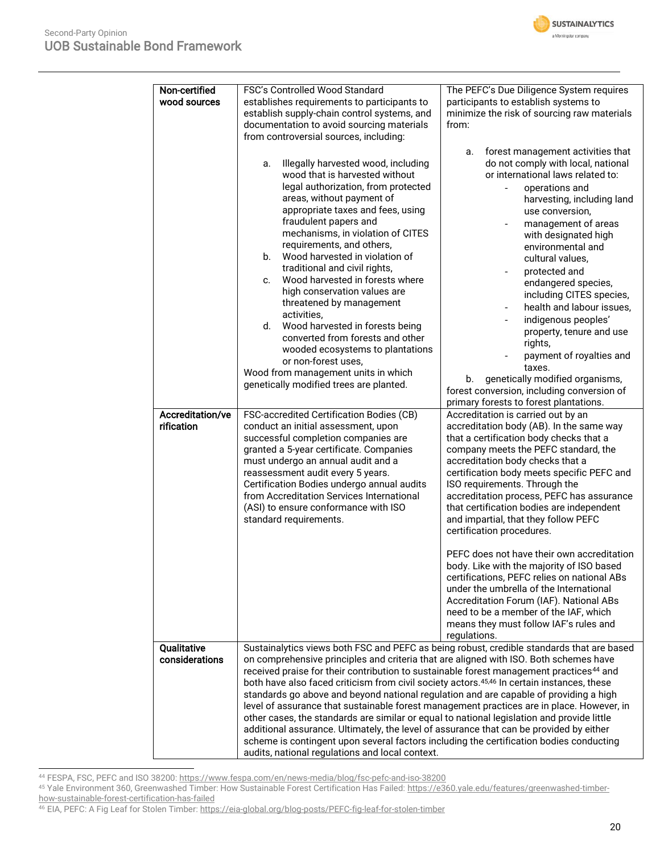

| Non-certified<br>wood sources  | FSC's Controlled Wood Standard<br>establishes requirements to participants to<br>establish supply-chain control systems, and<br>documentation to avoid sourcing materials<br>from controversial sources, including:<br>Illegally harvested wood, including<br>a.<br>wood that is harvested without<br>legal authorization, from protected<br>areas, without payment of<br>appropriate taxes and fees, using<br>fraudulent papers and<br>mechanisms, in violation of CITES<br>requirements, and others,<br>Wood harvested in violation of<br>b.<br>traditional and civil rights,<br>Wood harvested in forests where<br>c.<br>high conservation values are<br>threatened by management<br>activities,<br>d.<br>Wood harvested in forests being<br>converted from forests and other<br>wooded ecosystems to plantations<br>or non-forest uses,<br>Wood from management units in which<br>genetically modified trees are planted. | The PEFC's Due Diligence System requires<br>participants to establish systems to<br>minimize the risk of sourcing raw materials<br>from:<br>forest management activities that<br>a.<br>do not comply with local, national<br>or international laws related to:<br>operations and<br>harvesting, including land<br>use conversion,<br>management of areas<br>with designated high<br>environmental and<br>cultural values,<br>protected and<br>endangered species,<br>including CITES species,<br>health and labour issues,<br>indigenous peoples'<br>property, tenure and use<br>rights,<br>payment of royalties and<br>taxes.<br>genetically modified organisms,<br>b.<br>forest conversion, including conversion of<br>primary forests to forest plantations.        |
|--------------------------------|-------------------------------------------------------------------------------------------------------------------------------------------------------------------------------------------------------------------------------------------------------------------------------------------------------------------------------------------------------------------------------------------------------------------------------------------------------------------------------------------------------------------------------------------------------------------------------------------------------------------------------------------------------------------------------------------------------------------------------------------------------------------------------------------------------------------------------------------------------------------------------------------------------------------------------|------------------------------------------------------------------------------------------------------------------------------------------------------------------------------------------------------------------------------------------------------------------------------------------------------------------------------------------------------------------------------------------------------------------------------------------------------------------------------------------------------------------------------------------------------------------------------------------------------------------------------------------------------------------------------------------------------------------------------------------------------------------------|
| Accreditation/ve<br>rification | FSC-accredited Certification Bodies (CB)<br>conduct an initial assessment, upon<br>successful completion companies are<br>granted a 5-year certificate. Companies<br>must undergo an annual audit and a<br>reassessment audit every 5 years.<br>Certification Bodies undergo annual audits<br>from Accreditation Services International<br>(ASI) to ensure conformance with ISO<br>standard requirements.                                                                                                                                                                                                                                                                                                                                                                                                                                                                                                                     | Accreditation is carried out by an<br>accreditation body (AB). In the same way<br>that a certification body checks that a<br>company meets the PEFC standard, the<br>accreditation body checks that a<br>certification body meets specific PEFC and<br>ISO requirements. Through the<br>accreditation process, PEFC has assurance<br>that certification bodies are independent<br>and impartial, that they follow PEFC<br>certification procedures.<br>PEFC does not have their own accreditation<br>body. Like with the majority of ISO based<br>certifications, PEFC relies on national ABs<br>under the umbrella of the International<br>Accreditation Forum (IAF). National ABs<br>need to be a member of the IAF, which<br>means they must follow IAF's rules and |
| Qualitative<br>considerations  | on comprehensive principles and criteria that are aligned with ISO. Both schemes have<br>received praise for their contribution to sustainable forest management practices <sup>44</sup> and<br>both have also faced criticism from civil society actors. <sup>45,46</sup> In certain instances, these<br>standards go above and beyond national regulation and are capable of providing a high<br>level of assurance that sustainable forest management practices are in place. However, in<br>other cases, the standards are similar or equal to national legislation and provide little<br>additional assurance. Ultimately, the level of assurance that can be provided by either<br>scheme is contingent upon several factors including the certification bodies conducting<br>audits, national regulations and local context.                                                                                           | regulations.<br>Sustainalytics views both FSC and PEFC as being robust, credible standards that are based                                                                                                                                                                                                                                                                                                                                                                                                                                                                                                                                                                                                                                                              |

<sup>44</sup> FESPA, FSC, PEFC and ISO 38200[: https://www.fespa.com/en/news-media/blog/fsc-pefc-and-iso-38200](https://www.fespa.com/en/news-media/blog/fsc-pefc-and-iso-38200)

<sup>45</sup> Yale Environment 360, Greenwashed Timber: How Sustainable Forest Certification Has Failed: [https://e360.yale.edu/features/greenwashed-timber](https://e360.yale.edu/features/greenwashed-timber-how-sustainable-forest-certification-has-failed)[how-sustainable-forest-certification-has-failed](https://e360.yale.edu/features/greenwashed-timber-how-sustainable-forest-certification-has-failed)

<sup>&</sup>lt;sup>46</sup> EIA, PEFC: A Fig Leaf for Stolen Timber: <u>https://eia-global.org/blog-posts/PEFC-fig-leaf-for-stolen-timber</u>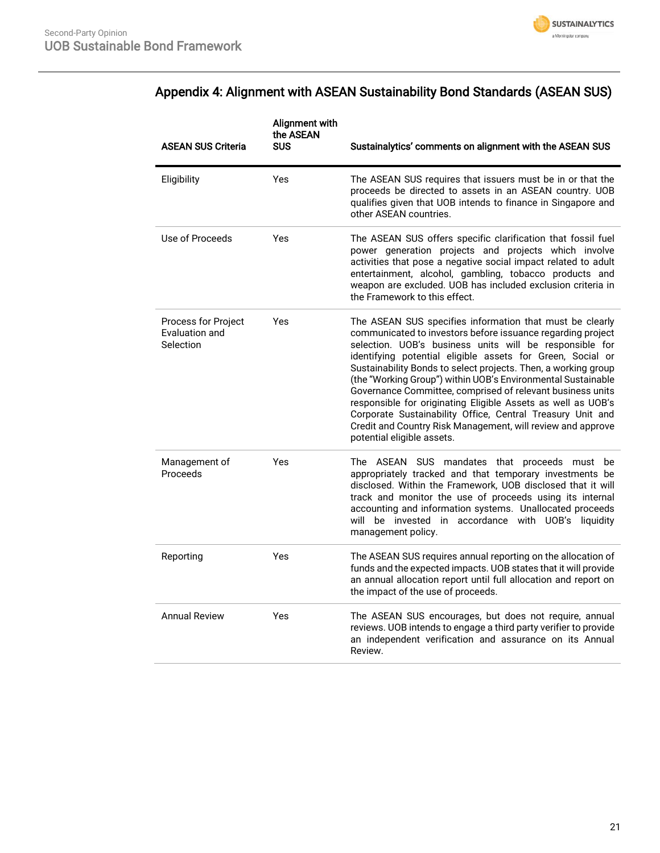

## Appendix 4: Alignment with ASEAN Sustainability Bond Standards (ASEAN SUS)

| <b>ASEAN SUS Criteria</b>                          | Alignment with<br>the ASEAN<br><b>SUS</b> | Sustainalytics' comments on alignment with the ASEAN SUS                                                                                                                                                                                                                                                                                                                                                                                                                                                                                                                                                                                                                    |
|----------------------------------------------------|-------------------------------------------|-----------------------------------------------------------------------------------------------------------------------------------------------------------------------------------------------------------------------------------------------------------------------------------------------------------------------------------------------------------------------------------------------------------------------------------------------------------------------------------------------------------------------------------------------------------------------------------------------------------------------------------------------------------------------------|
| Eligibility                                        | Yes                                       | The ASEAN SUS requires that issuers must be in or that the<br>proceeds be directed to assets in an ASEAN country. UOB<br>qualifies given that UOB intends to finance in Singapore and<br>other ASEAN countries.                                                                                                                                                                                                                                                                                                                                                                                                                                                             |
| Use of Proceeds                                    | Yes                                       | The ASEAN SUS offers specific clarification that fossil fuel<br>power generation projects and projects which involve<br>activities that pose a negative social impact related to adult<br>entertainment, alcohol, gambling, tobacco products and<br>weapon are excluded. UOB has included exclusion criteria in<br>the Framework to this effect.                                                                                                                                                                                                                                                                                                                            |
| Process for Project<br>Evaluation and<br>Selection | Yes                                       | The ASEAN SUS specifies information that must be clearly<br>communicated to investors before issuance regarding project<br>selection. UOB's business units will be responsible for<br>identifying potential eligible assets for Green, Social or<br>Sustainability Bonds to select projects. Then, a working group<br>(the "Working Group") within UOB's Environmental Sustainable<br>Governance Committee, comprised of relevant business units<br>responsible for originating Eligible Assets as well as UOB's<br>Corporate Sustainability Office, Central Treasury Unit and<br>Credit and Country Risk Management, will review and approve<br>potential eligible assets. |
| Management of<br>Proceeds                          | Yes                                       | The ASEAN SUS mandates that proceeds must be<br>appropriately tracked and that temporary investments be<br>disclosed. Within the Framework, UOB disclosed that it will<br>track and monitor the use of proceeds using its internal<br>accounting and information systems. Unallocated proceeds<br>will be invested in accordance with UOB's liquidity<br>management policy.                                                                                                                                                                                                                                                                                                 |
| Reporting                                          | Yes                                       | The ASEAN SUS requires annual reporting on the allocation of<br>funds and the expected impacts. UOB states that it will provide<br>an annual allocation report until full allocation and report on<br>the impact of the use of proceeds.                                                                                                                                                                                                                                                                                                                                                                                                                                    |
| <b>Annual Review</b>                               | Yes                                       | The ASEAN SUS encourages, but does not require, annual<br>reviews. UOB intends to engage a third party verifier to provide<br>an independent verification and assurance on its Annual<br>Review.                                                                                                                                                                                                                                                                                                                                                                                                                                                                            |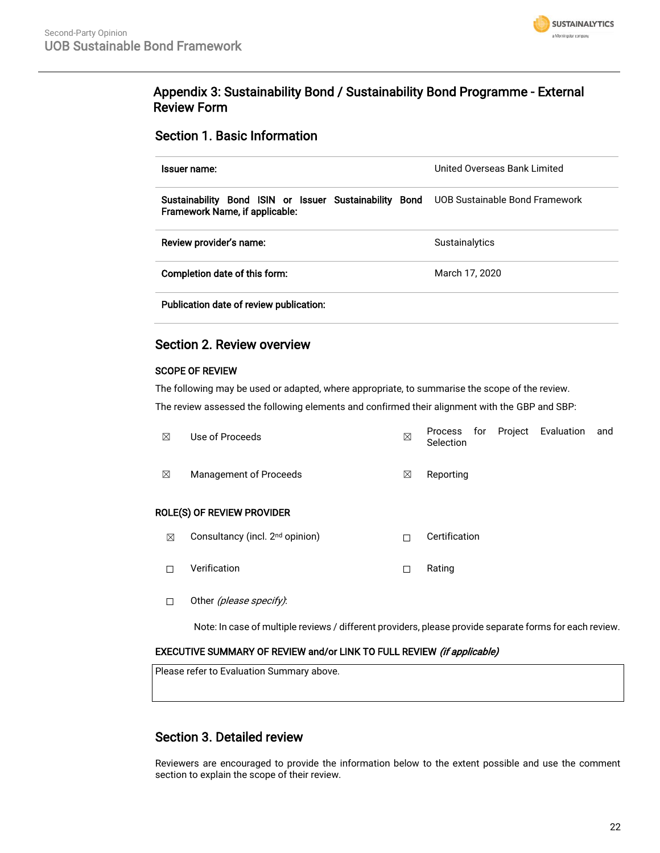

### Appendix 3: Sustainability Bond / Sustainability Bond Programme - External Review Form

### Section 1. Basic Information

| Issuer name:                                                                                                            | United Overseas Bank Limited |
|-------------------------------------------------------------------------------------------------------------------------|------------------------------|
| Sustainability Bond ISIN or Issuer Sustainability Bond UOB Sustainable Bond Framework<br>Framework Name, if applicable: |                              |
| Review provider's name:                                                                                                 | Sustainalytics               |
| Completion date of this form:                                                                                           | March 17, 2020               |
| Publication date of review publication:                                                                                 |                              |

### Section 2. Review overview

### SCOPE OF REVIEW

The following may be used or adapted, where appropriate, to summarise the scope of the review.

The review assessed the following elements and confirmed their alignment with the GBP and SBP:

| ⊠ | Use of Proceeds                   | ⊠ | Process for Project Evaluation<br>Selection |  | and |
|---|-----------------------------------|---|---------------------------------------------|--|-----|
| ⊠ | Management of Proceeds            | ⊠ | Reporting                                   |  |     |
|   | <b>ROLE(S) OF REVIEW PROVIDER</b> |   |                                             |  |     |

- **⊠** Consultancy (incl. 2<sup>nd</sup> opinion) □ □ Certification
- ☐ Verification ☐ Rating
- □ Other (please specify):

Note: In case of multiple reviews / different providers, please provide separate forms for each review.

### EXECUTIVE SUMMARY OF REVIEW and/or LINK TO FULL REVIEW (if applicable)

Please refer to Evaluation Summary above.

### Section 3. Detailed review

Reviewers are encouraged to provide the information below to the extent possible and use the comment section to explain the scope of their review.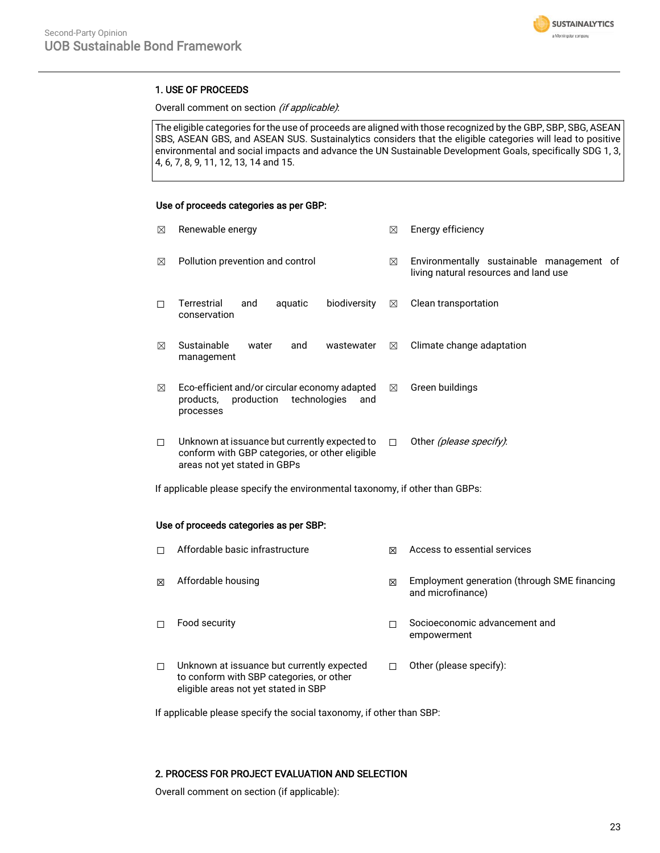

### 1. USE OF PROCEEDS

### Overall comment on section (if applicable):

The eligible categories for the use of proceeds are aligned with those recognized by the GBP, SBP, SBG, ASEAN SBS, ASEAN GBS, and ASEAN SUS. Sustainalytics considers that the eligible categories will lead to positive environmental and social impacts and advance the UN Sustainable Development Goals, specifically SDG 1, 3, 4, 6, 7, 8, 9, 11, 12, 13, 14 and 15.

### Use of proceeds categories as per GBP:

| ⊠ | Renewable energy                                                                                                                | ⊠           | Energy efficiency                                                                  |
|---|---------------------------------------------------------------------------------------------------------------------------------|-------------|------------------------------------------------------------------------------------|
| ⊠ | Pollution prevention and control                                                                                                | ⊠           | Environmentally sustainable management of<br>living natural resources and land use |
| П | Terrestrial<br>biodiversity<br>aquatic<br>and<br>conservation                                                                   | $\boxtimes$ | Clean transportation                                                               |
| ⊠ | Sustainable<br>water<br>and<br>wastewater<br>management                                                                         | ⊠           | Climate change adaptation                                                          |
| ⊠ | Eco-efficient and/or circular economy adapted<br>production<br>technologies<br>products,<br>and<br>processes                    | $\boxtimes$ | Green buildings                                                                    |
| □ | Unknown at issuance but currently expected to<br>conform with GBP categories, or other eligible<br>areas not yet stated in GBPs | $\Box$      | Other <i>(please specify)</i> :                                                    |

### If applicable please specify the environmental taxonomy, if other than GBPs:

#### Use of proceeds categories as per SBP:

|   | Affordable basic infrastructure                                                                                                | ⊠ | Access to essential services                                      |
|---|--------------------------------------------------------------------------------------------------------------------------------|---|-------------------------------------------------------------------|
| ⊠ | Affordable housing                                                                                                             | X | Employment generation (through SME financing<br>and microfinance) |
| П | Food security                                                                                                                  |   | Socioeconomic advancement and<br>empowerment                      |
| П | Unknown at issuance but currently expected<br>to conform with SBP categories, or other<br>eligible areas not yet stated in SBP |   | Other (please specify):                                           |

If applicable please specify the social taxonomy, if other than SBP:

### 2. PROCESS FOR PROJECT EVALUATION AND SELECTION

Overall comment on section (if applicable):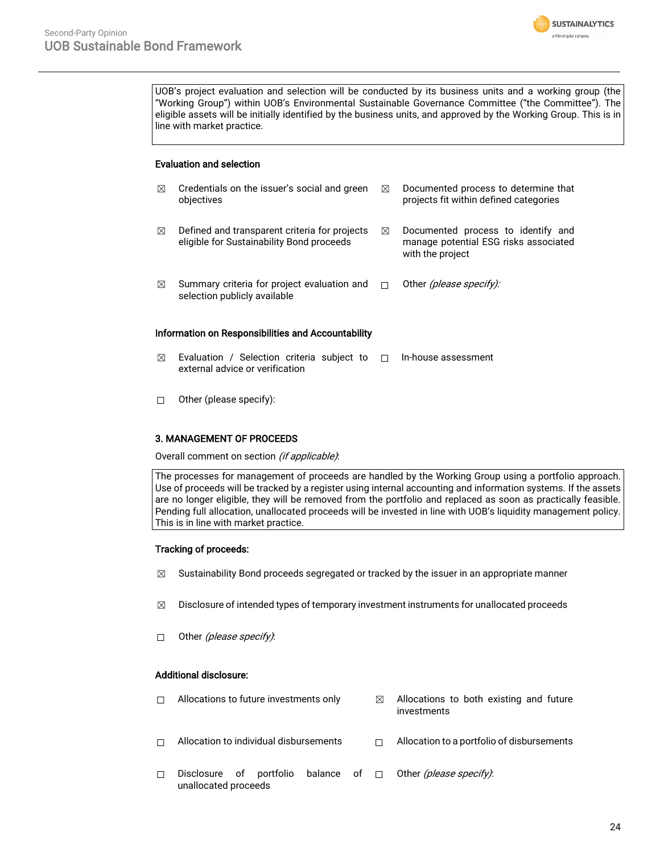

UOB's project evaluation and selection will be conducted by its business units and a working group (the "Working Group") within UOB's Environmental Sustainable Governance Committee ("the Committee"). The eligible assets will be initially identified by the business units, and approved by the Working Group. This is in line with market practice.

### Evaluation and selection

| ⊠                                                  | Credentials on the issuer's social and green<br>objectives                                 | ⊠ | Documented process to determine that<br>projects fit within defined categories                  |  |  |
|----------------------------------------------------|--------------------------------------------------------------------------------------------|---|-------------------------------------------------------------------------------------------------|--|--|
| ⊠                                                  | Defined and transparent criteria for projects<br>eligible for Sustainability Bond proceeds | ⊠ | Documented process to identify and<br>manage potential ESG risks associated<br>with the project |  |  |
| ⊠                                                  | Summary criteria for project evaluation and<br>selection publicly available                | п | Other <i>(please specify):</i>                                                                  |  |  |
| Information on Responsibilities and Accountability |                                                                                            |   |                                                                                                 |  |  |

- $\boxtimes$  Evaluation / Selection criteria subject to  $\Box$  In-house assessment external advice or verification
- ☐ Other (please specify):

### 3. MANAGEMENT OF PROCEEDS

Overall comment on section (if applicable).

The processes for management of proceeds are handled by the Working Group using a portfolio approach. Use of proceeds will be tracked by a register using internal accounting and information systems. If the assets are no longer eligible, they will be removed from the portfolio and replaced as soon as practically feasible. Pending full allocation, unallocated proceeds will be invested in line with UOB's liquidity management policy. This is in line with market practice.

### Tracking of proceeds:

- $\boxtimes$  Sustainability Bond proceeds segregated or tracked by the issuer in an appropriate manner
- $\boxtimes$  Disclosure of intended types of temporary investment instruments for unallocated proceeds
- $\Box$  Other (please specify):

### Additional disclosure:

 $\Box$  Allocations to future investments only  $\Box$  Allocations to both existing and future investments ☐ Allocation to individual disbursements ☐ Allocation to a portfolio of disbursements ☐ Disclosure of portfolio balance of unallocated proceeds □ Other *(please specify)*: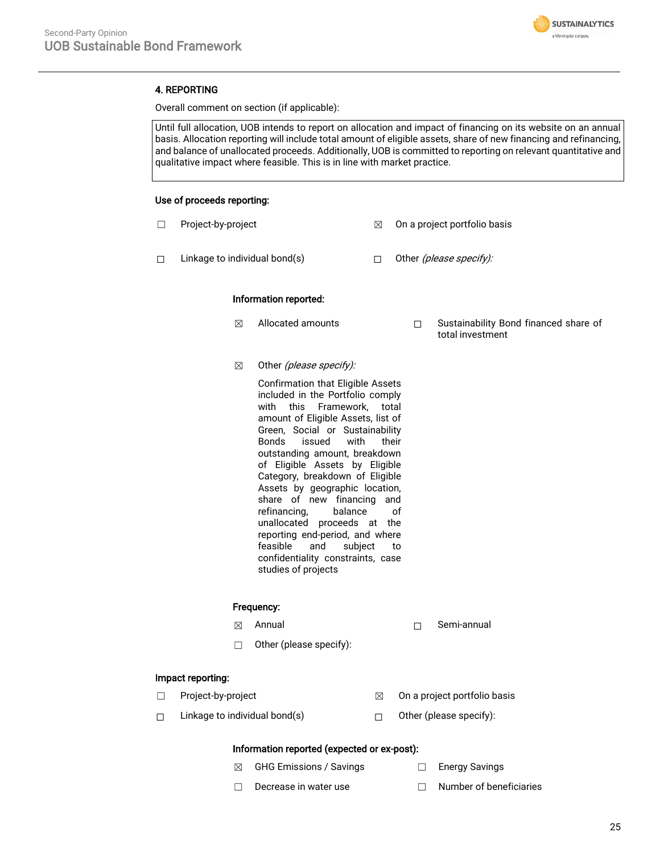

### 4. REPORTING

Overall comment on section (if applicable):

Until full allocation, UOB intends to report on allocation and impact of financing on its website on an annual basis. Allocation reporting will include total amount of eligible assets, share of new financing and refinancing, and balance of unallocated proceeds. Additionally, UOB is committed to reporting on relevant quantitative and qualitative impact where feasible. This is in line with market practice.

### Use of proceeds reporting:

- ☐ Project-by-project ☒ On a project portfolio basis
- □ Linkage to individual bond(s) □ □ Other *(please specify):*

#### Information reported:

- ☒ Allocated amounts ☐ Sustainability Bond financed share of
- $\boxtimes$  Other (please specify):

Confirmation that Eligible Assets included in the Portfolio comply with this Framework, total amount of Eligible Assets, list of Green, Social or Sustainability Bonds issued with their outstanding amount, breakdown of Eligible Assets by Eligible Category, breakdown of Eligible Assets by geographic location, share of new financing and refinancing, balance of unallocated proceeds at the reporting end-period, and where feasible and subject to confidentiality constraints, case studies of projects

#### Frequency:

- 
- ☒ Annual ☐ Semi-annual

total investment

☐ Other (please specify):

### Impact reporting:

- 
- $\Box$  Project-by-project  $\boxtimes$  On a project portfolio basis
- ☐ Linkage to individual bond(s) ☐ Other (please specify):
- - Information reported (expected or ex-post):
	- **⊠** GHG Emissions / Savings □ Energy Savings
		-
	- ☐ Decrease in water use ☐ Number of beneficiaries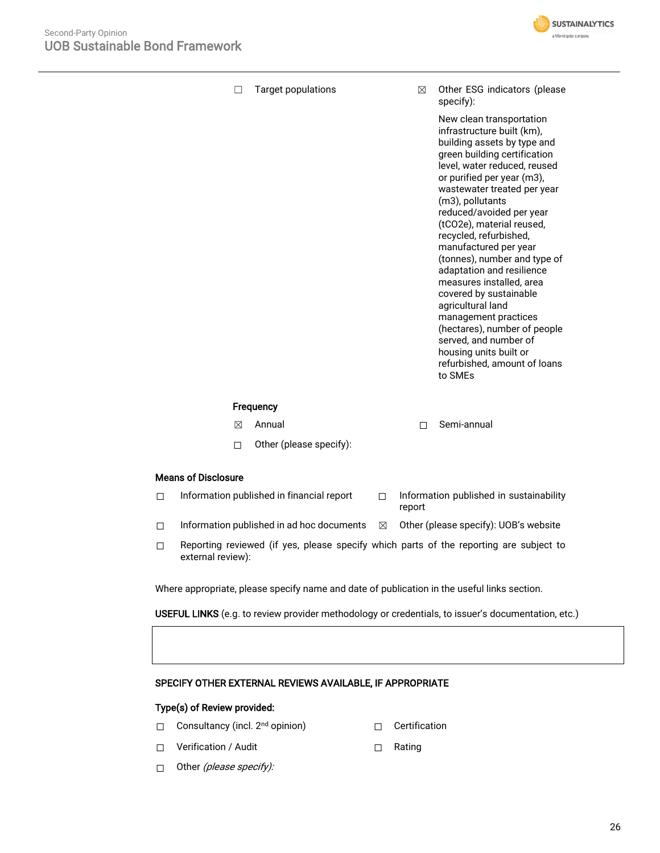

☐ Target populations ☒ Other ESG indicators (please specify):

> New clean transportation infrastructure built (km), building assets by type and green building certification level, water reduced, reused or purified per year (m3), wastewater treated per year (m3), pollutants reduced/avoided per year (tCO2e), material reused, recycled, refurbished, manufactured per year (tonnes), number and type of adaptation and resilience measures installed, area covered by sustainable agricultural land management practices (hectares), number of people served, and number of housing units built or refurbished, amount of loans to SMEs

### **Frequency**

- ☒ Annual ☐ Semi-annual
- ☐ Other (please specify):

### Means of Disclosure

| $\Box$ | Information published in financial report | Information published in sustainability |
|--------|-------------------------------------------|-----------------------------------------|
|        |                                           | report                                  |

- ☐ Information published in ad hoc documents ☒ Other (please specify): UOB's website
- ☐ Reporting reviewed (if yes, please specify which parts of the reporting are subject to external review):

Where appropriate, please specify name and date of publication in the useful links section.

USEFUL LINKS (e.g. to review provider methodology or credentials, to issuer's documentation, etc.)

### SPECIFY OTHER EXTERNAL REVIEWS AVAILABLE, IF APPROPRIATE

### Type(s) of Review provided:

- □ Consultancy (incl. 2<sup>nd</sup> opinion) □ Certification
	-
- ☐ Verification / Audit ☐ Rating
- 

 $\Box$  Other (please specify):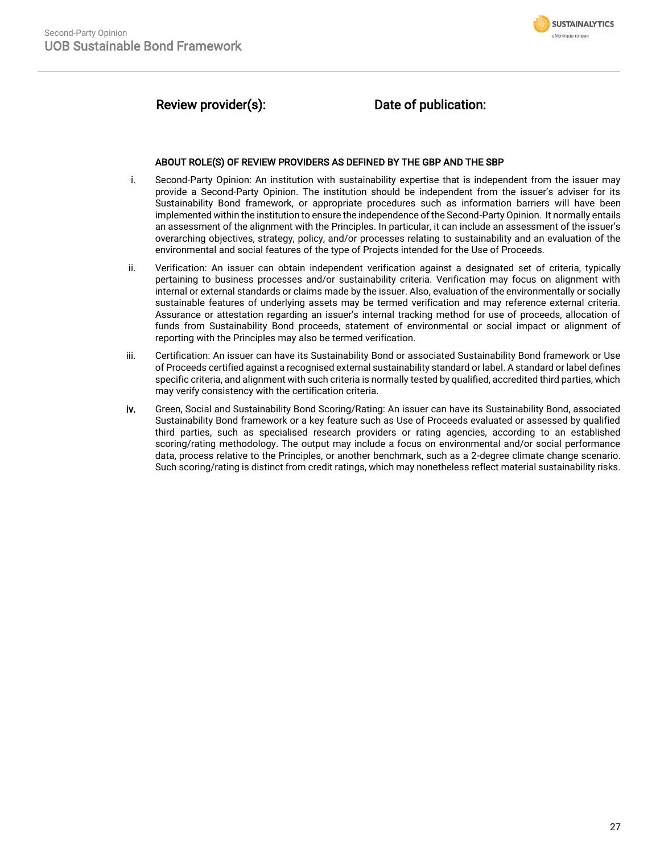

## Review provider(s): Date of publication:

### ABOUT ROLE(S) OF REVIEW PROVIDERS AS DEFINED BY THE GBP AND THE SBP

- i. Second-Party Opinion: An institution with sustainability expertise that is independent from the issuer may provide a Second-Party Opinion. The institution should be independent from the issuer's adviser for its Sustainability Bond framework, or appropriate procedures such as information barriers will have been implemented within the institution to ensure the independence of the Second-Party Opinion. It normally entails an assessment of the alignment with the Principles. In particular, it can include an assessment of the issuer's overarching objectives, strategy, policy, and/or processes relating to sustainability and an evaluation of the environmental and social features of the type of Projects intended for the Use of Proceeds.
- ii. Verification: An issuer can obtain independent verification against a designated set of criteria, typically pertaining to business processes and/or sustainability criteria. Verification may focus on alignment with internal or external standards or claims made by the issuer. Also, evaluation of the environmentally or socially sustainable features of underlying assets may be termed verification and may reference external criteria. Assurance or attestation regarding an issuer's internal tracking method for use of proceeds, allocation of funds from Sustainability Bond proceeds, statement of environmental or social impact or alignment of reporting with the Principles may also be termed verification.
- iii. Certification: An issuer can have its Sustainability Bond or associated Sustainability Bond framework or Use of Proceeds certified against a recognised external sustainability standard or label. A standard or label defines specific criteria, and alignment with such criteria is normally tested by qualified, accredited third parties, which may verify consistency with the certification criteria.
- iv. Green, Social and Sustainability Bond Scoring/Rating: An issuer can have its Sustainability Bond, associated Sustainability Bond framework or a key feature such as Use of Proceeds evaluated or assessed by qualified third parties, such as specialised research providers or rating agencies, according to an established scoring/rating methodology. The output may include a focus on environmental and/or social performance data, process relative to the Principles, or another benchmark, such as a 2-degree climate change scenario. Such scoring/rating is distinct from credit ratings, which may nonetheless reflect material sustainability risks.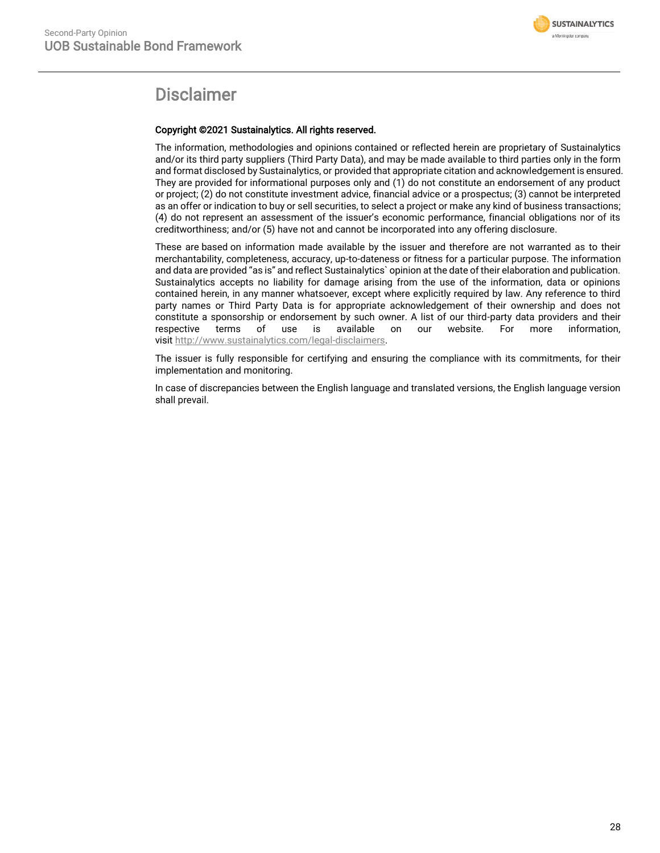

## Disclaimer

### Copyright ©2021 Sustainalytics. All rights reserved.

The information, methodologies and opinions contained or reflected herein are proprietary of Sustainalytics and/or its third party suppliers (Third Party Data), and may be made available to third parties only in the form and format disclosed by Sustainalytics, or provided that appropriate citation and acknowledgement is ensured. They are provided for informational purposes only and (1) do not constitute an endorsement of any product or project; (2) do not constitute investment advice, financial advice or a prospectus; (3) cannot be interpreted as an offer or indication to buy or sell securities, to select a project or make any kind of business transactions; (4) do not represent an assessment of the issuer's economic performance, financial obligations nor of its creditworthiness; and/or (5) have not and cannot be incorporated into any offering disclosure.

These are based on information made available by the issuer and therefore are not warranted as to their merchantability, completeness, accuracy, up-to-dateness or fitness for a particular purpose. The information and data are provided "as is" and reflect Sustainalytics` opinion at the date of their elaboration and publication. Sustainalytics accepts no liability for damage arising from the use of the information, data or opinions contained herein, in any manner whatsoever, except where explicitly required by law. Any reference to third party names or Third Party Data is for appropriate acknowledgement of their ownership and does not constitute a sponsorship or endorsement by such owner. A list of our third-party data providers and their respective terms of use is available on our website. For more information, visit [http://www.sustainalytics.com/legal-disclaimers.](http://www.sustainalytics.com/legal-disclaimers)

The issuer is fully responsible for certifying and ensuring the compliance with its commitments, for their implementation and monitoring.

In case of discrepancies between the English language and translated versions, the English language version shall prevail.